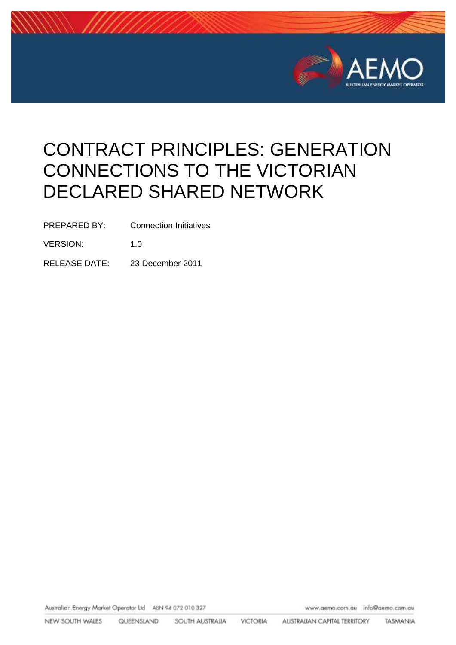

# CONTRACT PRINCIPLES: GENERATION CONNECTIONS TO THE VICTORIAN DECLARED SHARED NETWORK

PREPARED BY: Connection Initiatives

VERSION: 1.0

RELEASE DATE: 23 December 2011

Australian Energy Market Operator Ltd ABN 94 072 010 327

www.aemo.com.au info@aemo.com.au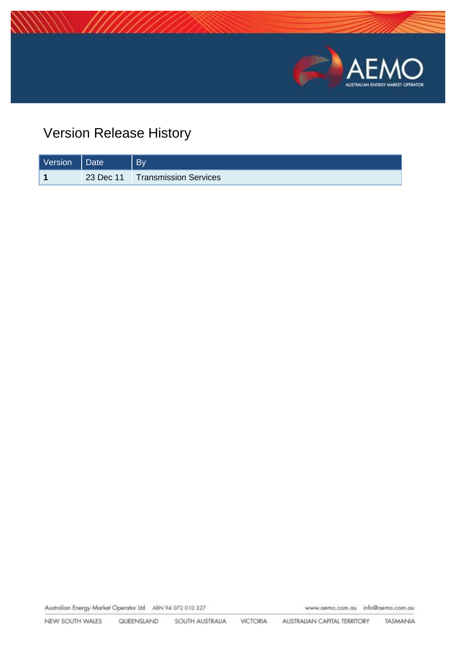

# Version Release History

| Version | Date      | <b>By</b>                    |
|---------|-----------|------------------------------|
|         | 23 Dec 11 | <b>Transmission Services</b> |

Australian Energy Market Operator Ltd ABN 94 072 010 327

www.aemo.com.au info@aemo.com.au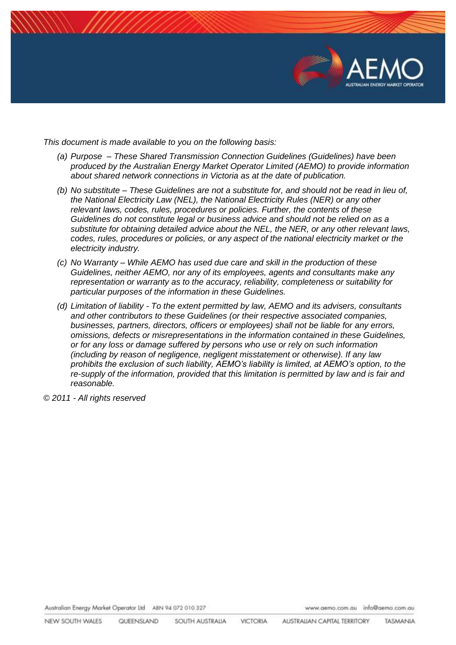

*This document is made available to you on the following basis:* 

- *(a) Purpose – These Shared Transmission Connection Guidelines (Guidelines) have been produced by the Australian Energy Market Operator Limited (AEMO) to provide information about shared network connections in Victoria as at the date of publication.*
- *(b) No substitute – These Guidelines are not a substitute for, and should not be read in lieu of, the National Electricity Law (NEL), the National Electricity Rules (NER) or any other relevant laws, codes, rules, procedures or policies. Further, the contents of these Guidelines do not constitute legal or business advice and should not be relied on as a substitute for obtaining detailed advice about the NEL, the NER, or any other relevant laws, codes, rules, procedures or policies, or any aspect of the national electricity market or the electricity industry.*
- *(c) No Warranty – While AEMO has used due care and skill in the production of these Guidelines, neither AEMO, nor any of its employees, agents and consultants make any representation or warranty as to the accuracy, reliability, completeness or suitability for particular purposes of the information in these Guidelines.*
- *(d) Limitation of liability - To the extent permitted by law, AEMO and its advisers, consultants and other contributors to these Guidelines (or their respective associated companies, businesses, partners, directors, officers or employees) shall not be liable for any errors, omissions, defects or misrepresentations in the information contained in these Guidelines, or for any loss or damage suffered by persons who use or rely on such information (including by reason of negligence, negligent misstatement or otherwise). If any law prohibits the exclusion of such liability, AEMO's liability is limited, at AEMO's option, to the re-supply of the information, provided that this limitation is permitted by law and is fair and reasonable.*

*© 2011 - All rights reserved*

Australian Energy Market Operator Ltd ABN 94 072 010 327

www.aemo.com.au info@aemo.com.au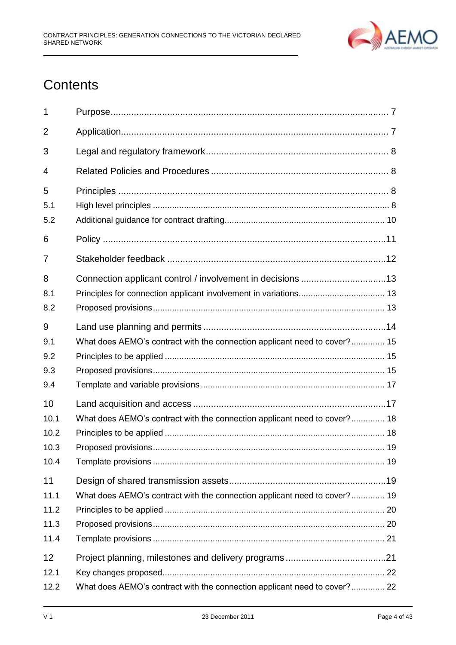

# **Contents**

| 1                                  |                                                                           |  |
|------------------------------------|---------------------------------------------------------------------------|--|
| 2                                  |                                                                           |  |
| 3                                  |                                                                           |  |
| 4                                  |                                                                           |  |
| 5<br>5.1<br>5.2                    |                                                                           |  |
| 6                                  |                                                                           |  |
| 7                                  |                                                                           |  |
| 8<br>8.1<br>8.2                    |                                                                           |  |
| 9<br>9.1<br>9.2<br>9.3<br>9.4      | What does AEMO's contract with the connection applicant need to cover? 15 |  |
| 10<br>10.1<br>10.2<br>10.3<br>10.4 | What does AEMO's contract with the connection applicant need to cover? 18 |  |
| 11<br>11.1<br>11.2<br>11.3<br>11.4 | What does AEMO's contract with the connection applicant need to cover? 19 |  |
| 12                                 |                                                                           |  |
| 12.1<br>12.2                       | What does AEMO's contract with the connection applicant need to cover? 22 |  |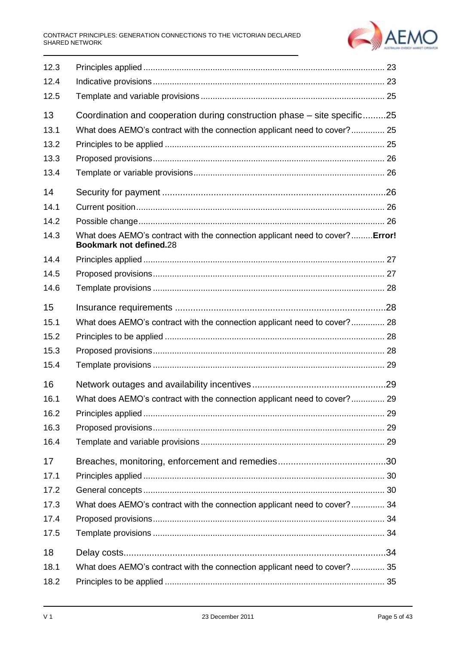#### CONTRACT PRINCIPLES: GENERATION CONNECTIONS TO THE VICTORIAN DECLARED SHARED NETWORK



| 12.3 |                                                                                                                |  |
|------|----------------------------------------------------------------------------------------------------------------|--|
| 12.4 |                                                                                                                |  |
| 12.5 |                                                                                                                |  |
| 13   | Coordination and cooperation during construction phase – site specific25                                       |  |
| 13.1 | What does AEMO's contract with the connection applicant need to cover? 25                                      |  |
| 13.2 |                                                                                                                |  |
| 13.3 |                                                                                                                |  |
| 13.4 |                                                                                                                |  |
| 14   |                                                                                                                |  |
| 14.1 |                                                                                                                |  |
| 14.2 |                                                                                                                |  |
| 14.3 | What does AEMO's contract with the connection applicant need to cover?Error!<br><b>Bookmark not defined.28</b> |  |
| 14.4 |                                                                                                                |  |
| 14.5 |                                                                                                                |  |
| 14.6 |                                                                                                                |  |
| 15   |                                                                                                                |  |
| 15.1 | What does AEMO's contract with the connection applicant need to cover? 28                                      |  |
| 15.2 |                                                                                                                |  |
| 15.3 |                                                                                                                |  |
| 15.4 |                                                                                                                |  |
| 16   |                                                                                                                |  |
| 16.1 | What does AEMO's contract with the connection applicant need to cover? 29                                      |  |
| 16.2 |                                                                                                                |  |
| 16.3 |                                                                                                                |  |
| 16.4 |                                                                                                                |  |
| 17   |                                                                                                                |  |
| 17.1 |                                                                                                                |  |
| 17.2 |                                                                                                                |  |
| 17.3 | What does AEMO's contract with the connection applicant need to cover? 34                                      |  |
| 17.4 |                                                                                                                |  |
| 17.5 |                                                                                                                |  |
| 18   |                                                                                                                |  |
| 18.1 | What does AEMO's contract with the connection applicant need to cover? 35                                      |  |
| 18.2 |                                                                                                                |  |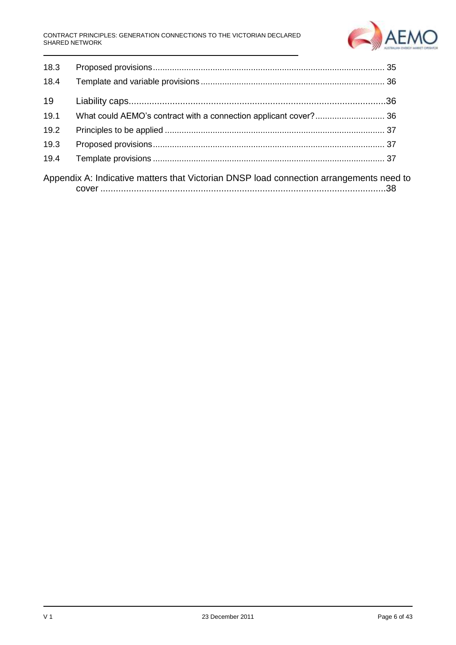

| 18.3 |                                                                                         |  |
|------|-----------------------------------------------------------------------------------------|--|
| 18.4 |                                                                                         |  |
| 19   |                                                                                         |  |
| 19.1 |                                                                                         |  |
| 19.2 |                                                                                         |  |
| 19.3 |                                                                                         |  |
| 19.4 |                                                                                         |  |
|      | Appendix A: Indicative matters that Victorian DNSP load connection arrangements need to |  |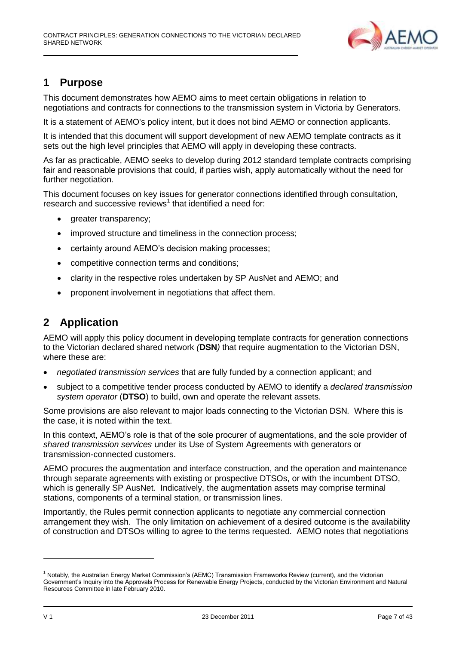

# <span id="page-6-0"></span>**1 Purpose**

This document demonstrates how AEMO aims to meet certain obligations in relation to negotiations and contracts for connections to the transmission system in Victoria by Generators.

It is a statement of AEMO's policy intent, but it does not bind AEMO or connection applicants.

It is intended that this document will support development of new AEMO template contracts as it sets out the high level principles that AEMO will apply in developing these contracts.

As far as practicable, AEMO seeks to develop during 2012 standard template contracts comprising fair and reasonable provisions that could, if parties wish, apply automatically without the need for further negotiation.

This document focuses on key issues for generator connections identified through consultation, research and successive reviews<sup>1</sup> that identified a need for:

- greater transparency;
- improved structure and timeliness in the connection process;
- certainty around AEMO's decision making processes;
- competitive connection terms and conditions;
- clarity in the respective roles undertaken by SP AusNet and AEMO; and
- proponent involvement in negotiations that affect them.

# <span id="page-6-1"></span>**2 Application**

AEMO will apply this policy document in developing template contracts for generation connections to the Victorian declared shared network *(***DSN***)* that require augmentation to the Victorian DSN, where these are:

- *negotiated transmission services* that are fully funded by a connection applicant; and
- subject to a competitive tender process conducted by AEMO to identify a *declared transmission system operator* (**DTSO**) to build, own and operate the relevant assets.

Some provisions are also relevant to major loads connecting to the Victorian DSN*.* Where this is the case, it is noted within the text.

In this context, AEMO's role is that of the sole procurer of augmentations, and the sole provider of *shared transmission services* under its Use of System Agreements with generators or transmission-connected customers.

AEMO procures the augmentation and interface construction, and the operation and maintenance through separate agreements with existing or prospective DTSOs, or with the incumbent DTSO, which is generally SP AusNet. Indicatively, the augmentation assets may comprise terminal stations, components of a terminal station, or transmission lines.

Importantly, the Rules permit connection applicants to negotiate any commercial connection arrangement they wish. The only limitation on achievement of a desired outcome is the availability of construction and DTSOs willing to agree to the terms requested. AEMO notes that negotiations

<sup>&</sup>lt;sup>1</sup> Notably, the Australian Energy Market Commission's (AEMC) Transmission Frameworks Review (current), and the Victorian Government's Inquiry into the Approvals Process for Renewable Energy Projects, conducted by the Victorian Environment and Natural Resources Committee in late February 2010.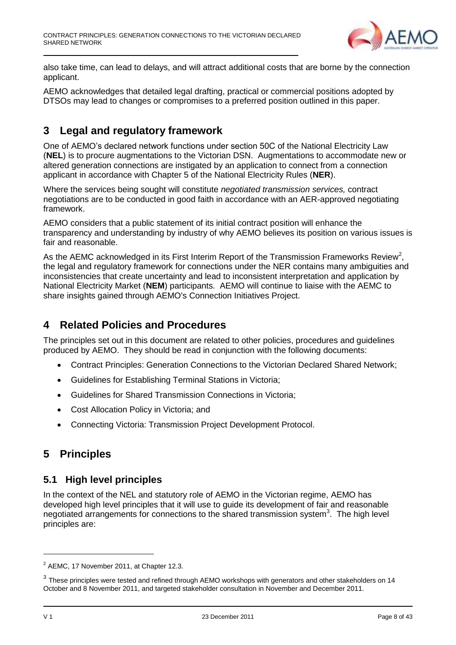

also take time, can lead to delays, and will attract additional costs that are borne by the connection applicant.

AEMO acknowledges that detailed legal drafting, practical or commercial positions adopted by DTSOs may lead to changes or compromises to a preferred position outlined in this paper.

# <span id="page-7-0"></span>**3 Legal and regulatory framework**

One of AEMO's declared network functions under section 50C of the National Electricity Law (**NEL**) is to procure augmentations to the Victorian DSN. Augmentations to accommodate new or altered generation connections are instigated by an application to connect from a connection applicant in accordance with Chapter 5 of the National Electricity Rules (**NER**).

Where the services being sought will constitute *negotiated transmission services,* contract negotiations are to be conducted in good faith in accordance with an AER-approved negotiating framework.

AEMO considers that a public statement of its initial contract position will enhance the transparency and understanding by industry of why AEMO believes its position on various issues is fair and reasonable.

As the AEMC acknowledged in its First Interim Report of the Transmission Frameworks Review<sup>2</sup>, the legal and regulatory framework for connections under the NER contains many ambiguities and inconsistencies that create uncertainty and lead to inconsistent interpretation and application by National Electricity Market (**NEM**) participants. AEMO will continue to liaise with the AEMC to share insights gained through AEMO's Connection Initiatives Project.

# <span id="page-7-1"></span>**4 Related Policies and Procedures**

The principles set out in this document are related to other policies, procedures and guidelines produced by AEMO. They should be read in conjunction with the following documents:

- Contract Principles: Generation Connections to the Victorian Declared Shared Network;
- Guidelines for Establishing Terminal Stations in Victoria;
- Guidelines for Shared Transmission Connections in Victoria;
- Cost Allocation Policy in Victoria; and
- Connecting Victoria: Transmission Project Development Protocol.

# <span id="page-7-2"></span>**5 Principles**

### <span id="page-7-3"></span>**5.1 High level principles**

In the context of the NEL and statutory role of AEMO in the Victorian regime, AEMO has developed high level principles that it will use to guide its development of fair and reasonable negotiated arrangements for connections to the shared transmission system<sup>3</sup>. The high level principles are:

 $2$  AEMC, 17 November 2011, at Chapter 12.3.

 $3$  These principles were tested and refined through AEMO workshops with generators and other stakeholders on 14 October and 8 November 2011, and targeted stakeholder consultation in November and December 2011.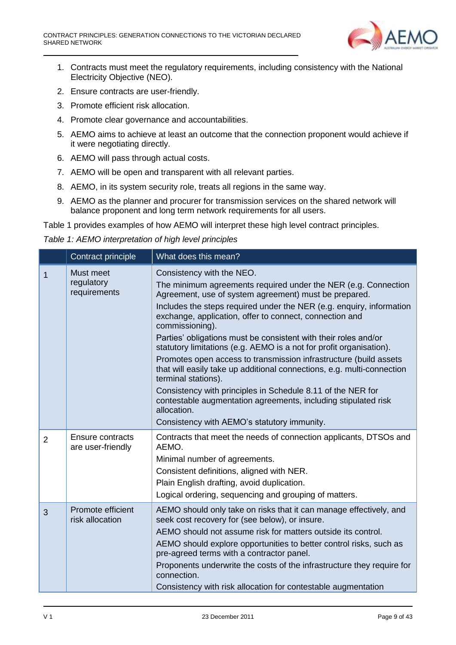

- 1. Contracts must meet the regulatory requirements, including consistency with the National Electricity Objective (NEO).
- 2. Ensure contracts are user-friendly.
- 3. Promote efficient risk allocation.
- 4. Promote clear governance and accountabilities.
- 5. AEMO aims to achieve at least an outcome that the connection proponent would achieve if it were negotiating directly.
- 6. AEMO will pass through actual costs.
- 7. AEMO will be open and transparent with all relevant parties.
- 8. AEMO, in its system security role, treats all regions in the same way.
- 9. AEMO as the planner and procurer for transmission services on the shared network will balance proponent and long term network requirements for all users.

Table 1 provides examples of how AEMO will interpret these high level contract principles.

*Table 1: AEMO interpretation of high level principles*

|                | Contract principle                      | What does this mean?                                                                                                                                                                                                                                                                                                                                                                                                                                                                                                                                                                                                                                                                                                                                                                                                      |  |  |
|----------------|-----------------------------------------|---------------------------------------------------------------------------------------------------------------------------------------------------------------------------------------------------------------------------------------------------------------------------------------------------------------------------------------------------------------------------------------------------------------------------------------------------------------------------------------------------------------------------------------------------------------------------------------------------------------------------------------------------------------------------------------------------------------------------------------------------------------------------------------------------------------------------|--|--|
| 1              | Must meet<br>regulatory<br>requirements | Consistency with the NEO.<br>The minimum agreements required under the NER (e.g. Connection<br>Agreement, use of system agreement) must be prepared.<br>Includes the steps required under the NER (e.g. enquiry, information<br>exchange, application, offer to connect, connection and<br>commissioning).<br>Parties' obligations must be consistent with their roles and/or<br>statutory limitations (e.g. AEMO is a not for profit organisation).<br>Promotes open access to transmission infrastructure (build assets<br>that will easily take up additional connections, e.g. multi-connection<br>terminal stations).<br>Consistency with principles in Schedule 8.11 of the NER for<br>contestable augmentation agreements, including stipulated risk<br>allocation.<br>Consistency with AEMO's statutory immunity. |  |  |
| $\overline{2}$ | Ensure contracts<br>are user-friendly   | Contracts that meet the needs of connection applicants, DTSOs and<br>AEMO.<br>Minimal number of agreements.<br>Consistent definitions, aligned with NER.<br>Plain English drafting, avoid duplication.<br>Logical ordering, sequencing and grouping of matters.                                                                                                                                                                                                                                                                                                                                                                                                                                                                                                                                                           |  |  |
| 3              | Promote efficient<br>risk allocation    | AEMO should only take on risks that it can manage effectively, and<br>seek cost recovery for (see below), or insure.<br>AEMO should not assume risk for matters outside its control.<br>AEMO should explore opportunities to better control risks, such as<br>pre-agreed terms with a contractor panel.<br>Proponents underwrite the costs of the infrastructure they require for<br>connection.<br>Consistency with risk allocation for contestable augmentation                                                                                                                                                                                                                                                                                                                                                         |  |  |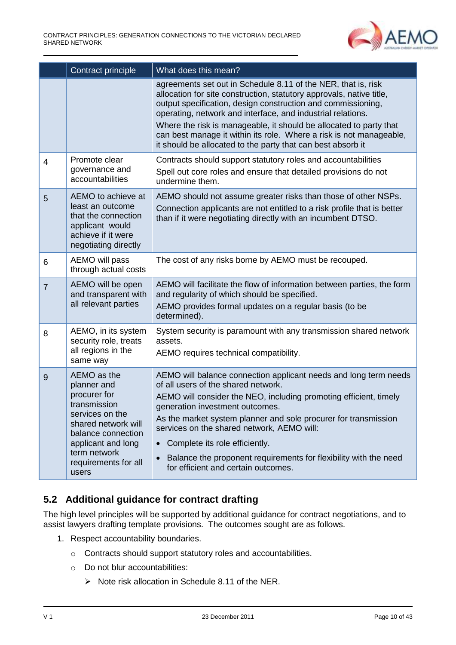

|                | Contract principle                                                                                                                                                                                | What does this mean?                                                                                                                                                                                                                                                                                                                                                                                                                                                                                    |  |  |
|----------------|---------------------------------------------------------------------------------------------------------------------------------------------------------------------------------------------------|---------------------------------------------------------------------------------------------------------------------------------------------------------------------------------------------------------------------------------------------------------------------------------------------------------------------------------------------------------------------------------------------------------------------------------------------------------------------------------------------------------|--|--|
|                |                                                                                                                                                                                                   | agreements set out in Schedule 8.11 of the NER, that is, risk<br>allocation for site construction, statutory approvals, native title,<br>output specification, design construction and commissioning,<br>operating, network and interface, and industrial relations.<br>Where the risk is manageable, it should be allocated to party that<br>can best manage it within its role. Where a risk is not manageable,<br>it should be allocated to the party that can best absorb it                        |  |  |
| $\overline{4}$ | Promote clear<br>governance and<br>accountabilities                                                                                                                                               | Contracts should support statutory roles and accountabilities<br>Spell out core roles and ensure that detailed provisions do not<br>undermine them.                                                                                                                                                                                                                                                                                                                                                     |  |  |
| 5              | AEMO to achieve at<br>least an outcome<br>that the connection<br>applicant would<br>achieve if it were<br>negotiating directly                                                                    | AEMO should not assume greater risks than those of other NSPs.<br>Connection applicants are not entitled to a risk profile that is better<br>than if it were negotiating directly with an incumbent DTSO.                                                                                                                                                                                                                                                                                               |  |  |
| 6              | AEMO will pass<br>through actual costs                                                                                                                                                            | The cost of any risks borne by AEMO must be recouped.                                                                                                                                                                                                                                                                                                                                                                                                                                                   |  |  |
| $\overline{7}$ | AEMO will be open<br>and transparent with<br>all relevant parties                                                                                                                                 | AEMO will facilitate the flow of information between parties, the form<br>and regularity of which should be specified.<br>AEMO provides formal updates on a regular basis (to be<br>determined).                                                                                                                                                                                                                                                                                                        |  |  |
| 8              | AEMO, in its system<br>security role, treats<br>all regions in the<br>same way                                                                                                                    | System security is paramount with any transmission shared network<br>assets.<br>AEMO requires technical compatibility.                                                                                                                                                                                                                                                                                                                                                                                  |  |  |
| 9              | AEMO as the<br>planner and<br>procurer for<br>transmission<br>services on the<br>shared network will<br>balance connection<br>applicant and long<br>term network<br>requirements for all<br>users | AEMO will balance connection applicant needs and long term needs<br>of all users of the shared network.<br>AEMO will consider the NEO, including promoting efficient, timely<br>generation investment outcomes.<br>As the market system planner and sole procurer for transmission<br>services on the shared network, AEMO will:<br>Complete its role efficiently.<br>$\bullet$<br>Balance the proponent requirements for flexibility with the need<br>$\bullet$<br>for efficient and certain outcomes. |  |  |

# <span id="page-9-0"></span>**5.2 Additional guidance for contract drafting**

The high level principles will be supported by additional guidance for contract negotiations, and to assist lawyers drafting template provisions. The outcomes sought are as follows.

- 1. Respect accountability boundaries.
	- o Contracts should support statutory roles and accountabilities.
	- o Do not blur accountabilities:
		- $\triangleright$  Note risk allocation in Schedule 8.11 of the NER.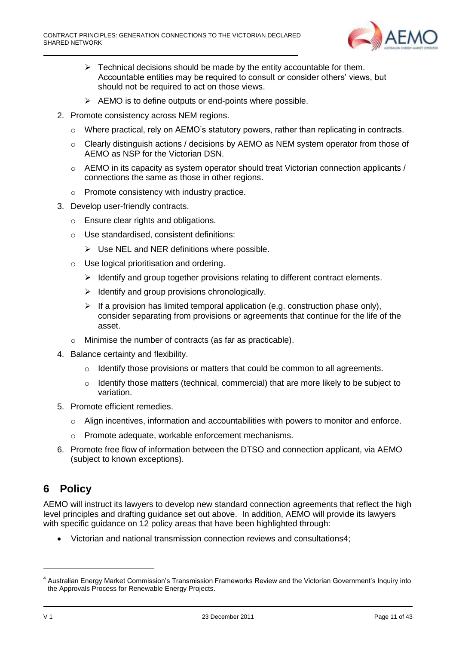

- $\triangleright$  Technical decisions should be made by the entity accountable for them. Accountable entities may be required to consult or consider others' views, but should not be required to act on those views.
- $\triangleright$  AEMO is to define outputs or end-points where possible.
- 2. Promote consistency across NEM regions.
	- o Where practical, rely on AEMO's statutory powers, rather than replicating in contracts.
	- $\circ$  Clearly distinguish actions / decisions by AEMO as NEM system operator from those of AEMO as NSP for the Victorian DSN.
	- o AEMO in its capacity as system operator should treat Victorian connection applicants / connections the same as those in other regions.
	- o Promote consistency with industry practice.
- 3. Develop user-friendly contracts.
	- o Ensure clear rights and obligations.
	- o Use standardised, consistent definitions:
		- $\triangleright$  Use NEL and NER definitions where possible.
	- o Use logical prioritisation and ordering.
		- $\triangleright$  Identify and group together provisions relating to different contract elements.
		- $\triangleright$  Identify and group provisions chronologically.
		- $\triangleright$  If a provision has limited temporal application (e.g. construction phase only), consider separating from provisions or agreements that continue for the life of the asset.
	- o Minimise the number of contracts (as far as practicable).
- 4. Balance certainty and flexibility.
	- o Identify those provisions or matters that could be common to all agreements.
	- $\circ$  Identify those matters (technical, commercial) that are more likely to be subject to variation.
- 5. Promote efficient remedies.
	- $\circ$  Align incentives, information and accountabilities with powers to monitor and enforce.
	- o Promote adequate, workable enforcement mechanisms.
- 6. Promote free flow of information between the DTSO and connection applicant, via AEMO (subject to known exceptions).

# <span id="page-10-0"></span>**6 Policy**

AEMO will instruct its lawyers to develop new standard connection agreements that reflect the high level principles and drafting guidance set out above. In addition, AEMO will provide its lawyers with specific guidance on 12 policy areas that have been highlighted through:

Victorian and national transmission connection reviews and consultations4;

<sup>&</sup>lt;sup>4</sup> Australian Energy Market Commission's Transmission Frameworks Review and the Victorian Government's Inquiry into the Approvals Process for Renewable Energy Projects.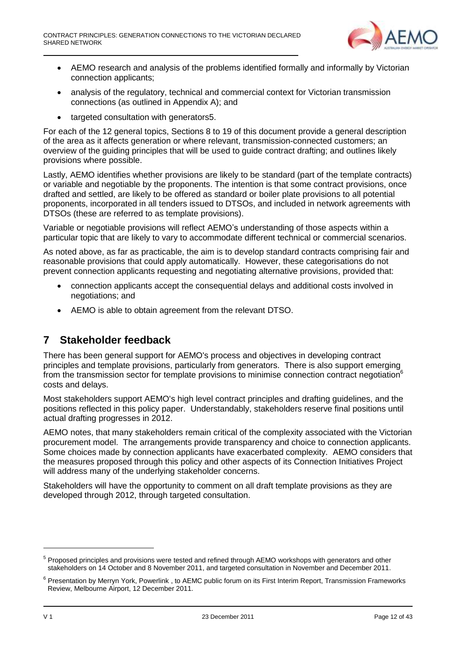

- AEMO research and analysis of the problems identified formally and informally by Victorian connection applicants;
- analysis of the regulatory, technical and commercial context for Victorian transmission connections (as outlined in Appendix A); and
- targeted consultation with generators5.

For each of the 12 general topics, Sections 8 to 19 of this document provide a general description of the area as it affects generation or where relevant, transmission-connected customers; an overview of the guiding principles that will be used to guide contract drafting; and outlines likely provisions where possible.

Lastly, AEMO identifies whether provisions are likely to be standard (part of the template contracts) or variable and negotiable by the proponents. The intention is that some contract provisions, once drafted and settled, are likely to be offered as standard or boiler plate provisions to all potential proponents, incorporated in all tenders issued to DTSOs, and included in network agreements with DTSOs (these are referred to as template provisions).

Variable or negotiable provisions will reflect AEMO's understanding of those aspects within a particular topic that are likely to vary to accommodate different technical or commercial scenarios.

As noted above, as far as practicable, the aim is to develop standard contracts comprising fair and reasonable provisions that could apply automatically. However, these categorisations do not prevent connection applicants requesting and negotiating alternative provisions, provided that:

- connection applicants accept the consequential delays and additional costs involved in negotiations; and
- AEMO is able to obtain agreement from the relevant DTSO.

# <span id="page-11-0"></span>**7 Stakeholder feedback**

There has been general support for AEMO's process and objectives in developing contract principles and template provisions, particularly from generators. There is also support emerging from the transmission sector for template provisions to minimise connection contract negotiation<sup>6</sup> costs and delays.

Most stakeholders support AEMO's high level contract principles and drafting guidelines, and the positions reflected in this policy paper. Understandably, stakeholders reserve final positions until actual drafting progresses in 2012.

AEMO notes, that many stakeholders remain critical of the complexity associated with the Victorian procurement model. The arrangements provide transparency and choice to connection applicants. Some choices made by connection applicants have exacerbated complexity. AEMO considers that the measures proposed through this policy and other aspects of its Connection Initiatives Project will address many of the underlying stakeholder concerns.

Stakeholders will have the opportunity to comment on all draft template provisions as they are developed through 2012, through targeted consultation.

<sup>&</sup>lt;sup>5</sup> Proposed principles and provisions were tested and refined through AEMO workshops with generators and other stakeholders on 14 October and 8 November 2011, and targeted consultation in November and December 2011.

<sup>&</sup>lt;sup>6</sup> Presentation by Merryn York, Powerlink, to AEMC public forum on its First Interim Report, Transmission Frameworks Review, Melbourne Airport, 12 December 2011.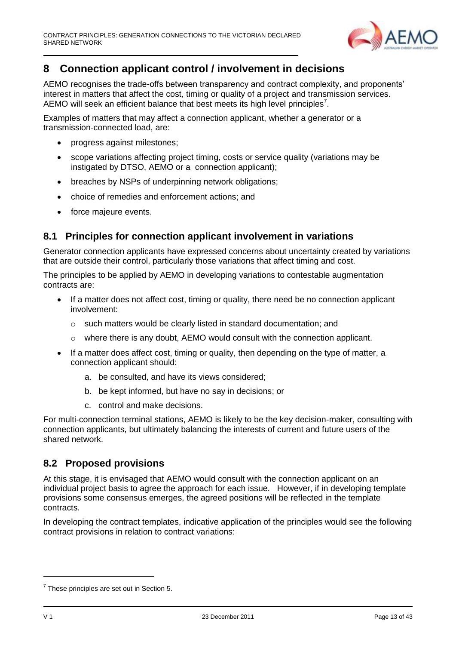

# <span id="page-12-0"></span>**8 Connection applicant control / involvement in decisions**

AEMO recognises the trade-offs between transparency and contract complexity, and proponents' interest in matters that affect the cost, timing or quality of a project and transmission services. AEMO will seek an efficient balance that best meets its high level principles<sup>7</sup>.

Examples of matters that may affect a connection applicant, whether a generator or a transmission-connected load, are:

- progress against milestones;
- scope variations affecting project timing, costs or service quality (variations may be instigated by DTSO, AEMO or a connection applicant);
- breaches by NSPs of underpinning network obligations;
- choice of remedies and enforcement actions; and
- force majeure events.

#### <span id="page-12-1"></span>**8.1 Principles for connection applicant involvement in variations**

Generator connection applicants have expressed concerns about uncertainty created by variations that are outside their control, particularly those variations that affect timing and cost.

The principles to be applied by AEMO in developing variations to contestable augmentation contracts are:

- If a matter does not affect cost, timing or quality, there need be no connection applicant involvement:
	- o such matters would be clearly listed in standard documentation; and
	- $\circ$  where there is any doubt, AEMO would consult with the connection applicant.
- If a matter does affect cost, timing or quality, then depending on the type of matter, a connection applicant should:
	- a. be consulted, and have its views considered;
	- b. be kept informed, but have no say in decisions; or
	- c. control and make decisions.

For multi-connection terminal stations, AEMO is likely to be the key decision-maker, consulting with connection applicants, but ultimately balancing the interests of current and future users of the shared network.

### <span id="page-12-2"></span>**8.2 Proposed provisions**

At this stage, it is envisaged that AEMO would consult with the connection applicant on an individual project basis to agree the approach for each issue. However, if in developing template provisions some consensus emerges, the agreed positions will be reflected in the template contracts.

In developing the contract templates, indicative application of the principles would see the following contract provisions in relation to contract variations:

 $7$  These principles are set out in Section 5.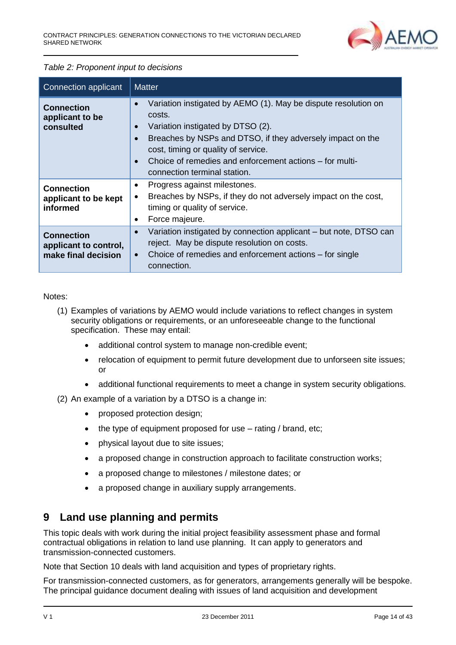

#### *Table 2: Proponent input to decisions*

| Connection applicant                                              | <b>Matter</b>                                                                                                                                                                                                                                                                                                                                                     |  |  |  |
|-------------------------------------------------------------------|-------------------------------------------------------------------------------------------------------------------------------------------------------------------------------------------------------------------------------------------------------------------------------------------------------------------------------------------------------------------|--|--|--|
| <b>Connection</b><br>applicant to be<br>consulted                 | Variation instigated by AEMO (1). May be dispute resolution on<br>$\bullet$<br>costs.<br>Variation instigated by DTSO (2).<br>$\bullet$<br>Breaches by NSPs and DTSO, if they adversely impact on the<br>$\bullet$<br>cost, timing or quality of service.<br>Choice of remedies and enforcement actions – for multi-<br>$\bullet$<br>connection terminal station. |  |  |  |
| <b>Connection</b><br>applicant to be kept<br>informed             | Progress against milestones.<br>$\bullet$<br>Breaches by NSPs, if they do not adversely impact on the cost,<br>timing or quality of service.<br>Force majeure.<br>$\bullet$                                                                                                                                                                                       |  |  |  |
| <b>Connection</b><br>applicant to control,<br>make final decision | Variation instigated by connection applicant – but note, DTSO can<br>$\bullet$<br>reject. May be dispute resolution on costs.<br>Choice of remedies and enforcement actions – for single<br>$\bullet$<br>connection.                                                                                                                                              |  |  |  |

Notes:

- (1) Examples of variations by AEMO would include variations to reflect changes in system security obligations or requirements, or an unforeseeable change to the functional specification. These may entail:
	- additional control system to manage non-credible event;
	- relocation of equipment to permit future development due to unforseen site issues; or
	- additional functional requirements to meet a change in system security obligations.

(2) An example of a variation by a DTSO is a change in:

- proposed protection design;
- the type of equipment proposed for use rating / brand, etc;
- physical layout due to site issues;
- a proposed change in construction approach to facilitate construction works;
- a proposed change to milestones / milestone dates; or
- a proposed change in auxiliary supply arrangements.

# <span id="page-13-0"></span>**9 Land use planning and permits**

This topic deals with work during the initial project feasibility assessment phase and formal contractual obligations in relation to land use planning. It can apply to generators and transmission-connected customers.

Note that Section 10 deals with land acquisition and types of proprietary rights.

For transmission-connected customers, as for generators, arrangements generally will be bespoke. The principal guidance document dealing with issues of land acquisition and development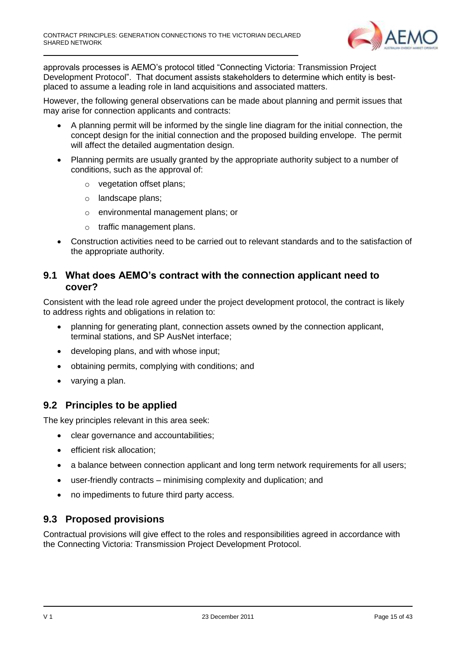

approvals processes is AEMO's protocol titled "Connecting Victoria: Transmission Project Development Protocol". That document assists stakeholders to determine which entity is bestplaced to assume a leading role in land acquisitions and associated matters.

However, the following general observations can be made about planning and permit issues that may arise for connection applicants and contracts:

- A planning permit will be informed by the single line diagram for the initial connection, the concept design for the initial connection and the proposed building envelope. The permit will affect the detailed augmentation design.
- Planning permits are usually granted by the appropriate authority subject to a number of conditions, such as the approval of:
	- o vegetation offset plans;
	- o landscape plans;
	- o environmental management plans; or
	- o traffic management plans.
- Construction activities need to be carried out to relevant standards and to the satisfaction of the appropriate authority.

#### <span id="page-14-0"></span>**9.1 What does AEMO's contract with the connection applicant need to cover?**

Consistent with the lead role agreed under the project development protocol, the contract is likely to address rights and obligations in relation to:

- planning for generating plant, connection assets owned by the connection applicant, terminal stations, and SP AusNet interface;
- developing plans, and with whose input;
- obtaining permits, complying with conditions; and
- varying a plan.

#### <span id="page-14-1"></span>**9.2 Principles to be applied**

The key principles relevant in this area seek:

- clear governance and accountabilities:
- **•** efficient risk allocation:
- a balance between connection applicant and long term network requirements for all users;
- user-friendly contracts minimising complexity and duplication; and
- no impediments to future third party access.

### <span id="page-14-2"></span>**9.3 Proposed provisions**

Contractual provisions will give effect to the roles and responsibilities agreed in accordance with the Connecting Victoria: Transmission Project Development Protocol.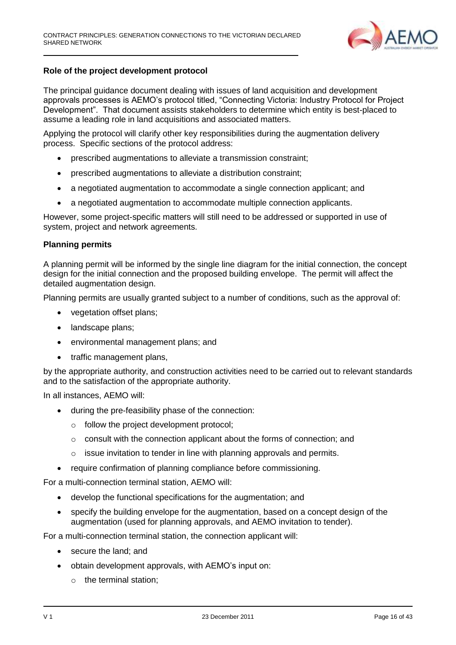

#### **Role of the project development protocol**

The principal guidance document dealing with issues of land acquisition and development approvals processes is AEMO's protocol titled, "Connecting Victoria: Industry Protocol for Project Development". That document assists stakeholders to determine which entity is best-placed to assume a leading role in land acquisitions and associated matters.

Applying the protocol will clarify other key responsibilities during the augmentation delivery process. Specific sections of the protocol address:

- prescribed augmentations to alleviate a transmission constraint;
- prescribed augmentations to alleviate a distribution constraint;
- a negotiated augmentation to accommodate a single connection applicant; and
- a negotiated augmentation to accommodate multiple connection applicants.

However, some project-specific matters will still need to be addressed or supported in use of system, project and network agreements.

#### **Planning permits**

A planning permit will be informed by the single line diagram for the initial connection, the concept design for the initial connection and the proposed building envelope. The permit will affect the detailed augmentation design.

Planning permits are usually granted subject to a number of conditions, such as the approval of:

- vegetation offset plans:
- landscape plans;
- environmental management plans; and
- traffic management plans,

by the appropriate authority, and construction activities need to be carried out to relevant standards and to the satisfaction of the appropriate authority.

In all instances, AEMO will:

- during the pre-feasibility phase of the connection:
	- o follow the project development protocol;
	- $\circ$  consult with the connection applicant about the forms of connection; and
	- $\circ$  issue invitation to tender in line with planning approvals and permits.
- require confirmation of planning compliance before commissioning.

For a multi-connection terminal station, AEMO will:

- develop the functional specifications for the augmentation; and
- specify the building envelope for the augmentation, based on a concept design of the augmentation (used for planning approvals, and AEMO invitation to tender).

For a multi-connection terminal station, the connection applicant will:

- secure the land; and
- obtain development approvals, with AEMO's input on:
	- o the terminal station;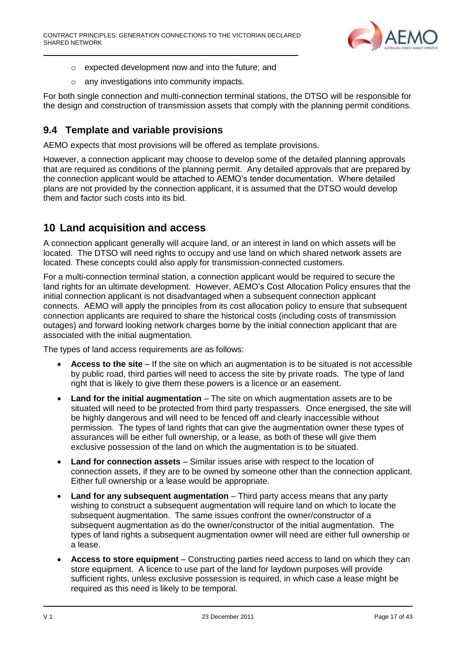

- o expected development now and into the future; and
- o any investigations into community impacts.

For both single connection and multi-connection terminal stations, the DTSO will be responsible for the design and construction of transmission assets that comply with the planning permit conditions.

# <span id="page-16-0"></span>**9.4 Template and variable provisions**

AEMO expects that most provisions will be offered as template provisions.

However, a connection applicant may choose to develop some of the detailed planning approvals that are required as conditions of the planning permit. Any detailed approvals that are prepared by the connection applicant would be attached to AEMO's tender documentation. Where detailed plans are not provided by the connection applicant, it is assumed that the DTSO would develop them and factor such costs into its bid.

# <span id="page-16-1"></span>**10 Land acquisition and access**

A connection applicant generally will acquire land, or an interest in land on which assets will be located. The DTSO will need rights to occupy and use land on which shared network assets are located. These concepts could also apply for transmission-connected customers.

For a multi-connection terminal station, a connection applicant would be required to secure the land rights for an ultimate development. However, AEMO's Cost Allocation Policy ensures that the initial connection applicant is not disadvantaged when a subsequent connection applicant connects. AEMO will apply the principles from its cost allocation policy to ensure that subsequent connection applicants are required to share the historical costs (including costs of transmission outages) and forward looking network charges borne by the initial connection applicant that are associated with the initial augmentation.

The types of land access requirements are as follows:

- **Access to the site** If the site on which an augmentation is to be situated is not accessible by public road, third parties will need to access the site by private roads. The type of land right that is likely to give them these powers is a licence or an easement.
- **Land for the initial augmentation** The site on which augmentation assets are to be situated will need to be protected from third party trespassers. Once energised, the site will be highly dangerous and will need to be fenced off and clearly inaccessible without permission. The types of land rights that can give the augmentation owner these types of assurances will be either full ownership, or a lease, as both of these will give them exclusive possession of the land on which the augmentation is to be situated.
- **Land for connection assets** Similar issues arise with respect to the location of connection assets, if they are to be owned by someone other than the connection applicant. Either full ownership or a lease would be appropriate.
- **Land for any subsequent augmentation** Third party access means that any party wishing to construct a subsequent augmentation will require land on which to locate the subsequent augmentation. The same issues confront the owner/constructor of a subsequent augmentation as do the owner/constructor of the initial augmentation. The types of land rights a subsequent augmentation owner will need are either full ownership or a lease.
- **Access to store equipment** Constructing parties need access to land on which they can store equipment. A licence to use part of the land for laydown purposes will provide sufficient rights, unless exclusive possession is required, in which case a lease might be required as this need is likely to be temporal.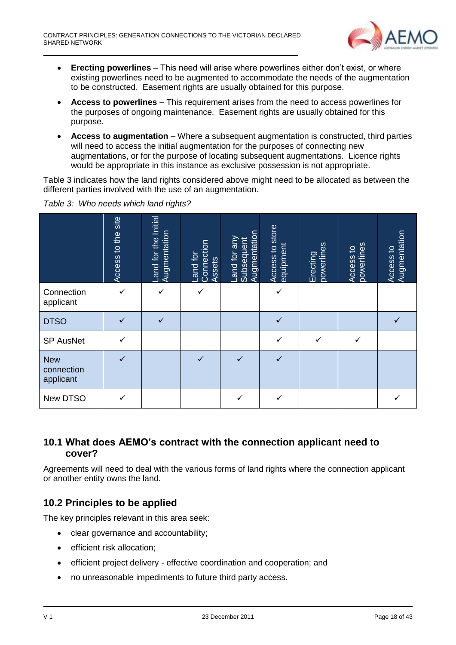

- **Erecting powerlines** This need will arise where powerlines either don't exist, or where existing powerlines need to be augmented to accommodate the needs of the augmentation to be constructed. Easement rights are usually obtained for this purpose.
- **Access to powerlines** This requirement arises from the need to access powerlines for the purposes of ongoing maintenance. Easement rights are usually obtained for this purpose.
- **Access to augmentation** Where a subsequent augmentation is constructed, third parties will need to access the initial augmentation for the purposes of connecting new augmentations, or for the purpose of locating subsequent augmentations. Licence rights would be appropriate in this instance as exclusive possession is not appropriate.

Table 3 indicates how the land rights considered above might need to be allocated as between the different parties involved with the use of an augmentation.

|                                       | to the site<br>Access | Land for the Initial<br>Augmentation | Connection<br>and for<br>Assets | Augmentation<br>Land for any<br>Subsequent | Access to store<br>equipment | powerlines<br>Erecting | powerlines<br>Access to | Access to<br>Augmentation |
|---------------------------------------|-----------------------|--------------------------------------|---------------------------------|--------------------------------------------|------------------------------|------------------------|-------------------------|---------------------------|
| Connection<br>applicant               | $\checkmark$          | $\checkmark$                         | $\checkmark$                    |                                            | ✓                            |                        |                         |                           |
| <b>DTSO</b>                           |                       | $\checkmark$                         |                                 |                                            | $\checkmark$                 |                        |                         |                           |
| <b>SP AusNet</b>                      | $\checkmark$          |                                      |                                 |                                            | ✓                            | ✓                      | ✓                       |                           |
| <b>New</b><br>connection<br>applicant | $\checkmark$          |                                      | $\checkmark$                    | ✓                                          | $\checkmark$                 |                        |                         |                           |
| New DTSO                              |                       |                                      |                                 |                                            |                              |                        |                         |                           |

*Table 3: Who needs which land rights?*

## <span id="page-17-0"></span>**10.1 What does AEMO's contract with the connection applicant need to cover?**

Agreements will need to deal with the various forms of land rights where the connection applicant or another entity owns the land.

# <span id="page-17-1"></span>**10.2 Principles to be applied**

The key principles relevant in this area seek:

- clear governance and accountability;
- **•** efficient risk allocation;
- efficient project delivery effective coordination and cooperation; and
- no unreasonable impediments to future third party access.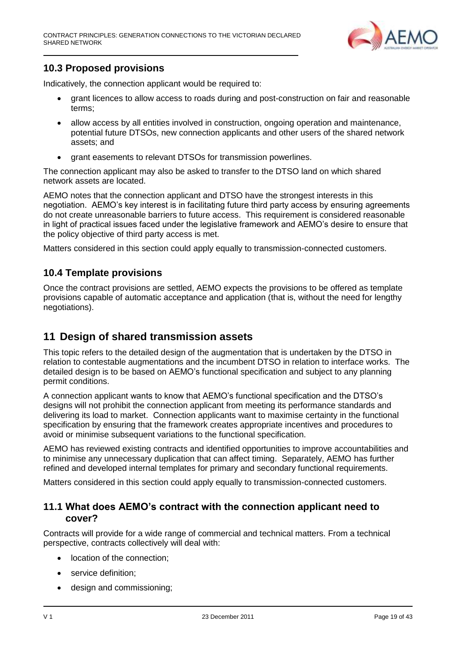

# <span id="page-18-0"></span>**10.3 Proposed provisions**

Indicatively, the connection applicant would be required to:

- grant licences to allow access to roads during and post-construction on fair and reasonable terms;
- allow access by all entities involved in construction, ongoing operation and maintenance, potential future DTSOs, new connection applicants and other users of the shared network assets; and
- grant easements to relevant DTSOs for transmission powerlines.

The connection applicant may also be asked to transfer to the DTSO land on which shared network assets are located.

AEMO notes that the connection applicant and DTSO have the strongest interests in this negotiation. AEMO's key interest is in facilitating future third party access by ensuring agreements do not create unreasonable barriers to future access. This requirement is considered reasonable in light of practical issues faced under the legislative framework and AEMO's desire to ensure that the policy objective of third party access is met.

Matters considered in this section could apply equally to transmission-connected customers.

#### <span id="page-18-1"></span>**10.4 Template provisions**

Once the contract provisions are settled, AEMO expects the provisions to be offered as template provisions capable of automatic acceptance and application (that is, without the need for lengthy negotiations).

# <span id="page-18-2"></span>**11 Design of shared transmission assets**

This topic refers to the detailed design of the augmentation that is undertaken by the DTSO in relation to contestable augmentations and the incumbent DTSO in relation to interface works. The detailed design is to be based on AEMO's functional specification and subject to any planning permit conditions.

A connection applicant wants to know that AEMO's functional specification and the DTSO's designs will not prohibit the connection applicant from meeting its performance standards and delivering its load to market. Connection applicants want to maximise certainty in the functional specification by ensuring that the framework creates appropriate incentives and procedures to avoid or minimise subsequent variations to the functional specification.

AEMO has reviewed existing contracts and identified opportunities to improve accountabilities and to minimise any unnecessary duplication that can affect timing. Separately, AEMO has further refined and developed internal templates for primary and secondary functional requirements.

Matters considered in this section could apply equally to transmission-connected customers.

#### <span id="page-18-3"></span>**11.1 What does AEMO's contract with the connection applicant need to cover?**

Contracts will provide for a wide range of commercial and technical matters. From a technical perspective, contracts collectively will deal with:

- location of the connection;
- service definition:
- design and commissioning;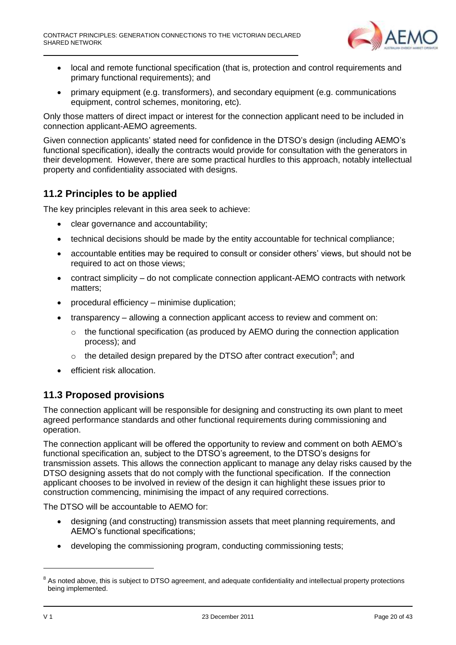

- local and remote functional specification (that is, protection and control requirements and primary functional requirements); and
- primary equipment (e.g. transformers), and secondary equipment (e.g. communications equipment, control schemes, monitoring, etc).

Only those matters of direct impact or interest for the connection applicant need to be included in connection applicant-AEMO agreements.

Given connection applicants' stated need for confidence in the DTSO's design (including AEMO's functional specification), ideally the contracts would provide for consultation with the generators in their development. However, there are some practical hurdles to this approach, notably intellectual property and confidentiality associated with designs.

### <span id="page-19-0"></span>**11.2 Principles to be applied**

The key principles relevant in this area seek to achieve:

- clear governance and accountability;
- technical decisions should be made by the entity accountable for technical compliance;
- accountable entities may be required to consult or consider others' views, but should not be required to act on those views;
- contract simplicity do not complicate connection applicant-AEMO contracts with network matters;
- procedural efficiency minimise duplication;
- transparency allowing a connection applicant access to review and comment on:
	- $\circ$  the functional specification (as produced by AEMO during the connection application process); and
	- $\circ$  the detailed design prepared by the DTSO after contract execution<sup>8</sup>; and
- efficient risk allocation.

### <span id="page-19-1"></span>**11.3 Proposed provisions**

The connection applicant will be responsible for designing and constructing its own plant to meet agreed performance standards and other functional requirements during commissioning and operation.

The connection applicant will be offered the opportunity to review and comment on both AEMO's functional specification an, subject to the DTSO's agreement, to the DTSO's designs for transmission assets. This allows the connection applicant to manage any delay risks caused by the DTSO designing assets that do not comply with the functional specification. If the connection applicant chooses to be involved in review of the design it can highlight these issues prior to construction commencing, minimising the impact of any required corrections.

The DTSO will be accountable to AEMO for:

- designing (and constructing) transmission assets that meet planning requirements, and AEMO's functional specifications;
- developing the commissioning program, conducting commissioning tests;

<sup>&</sup>lt;sup>8</sup> As noted above, this is subject to DTSO agreement, and adequate confidentiality and intellectual property protections being implemented.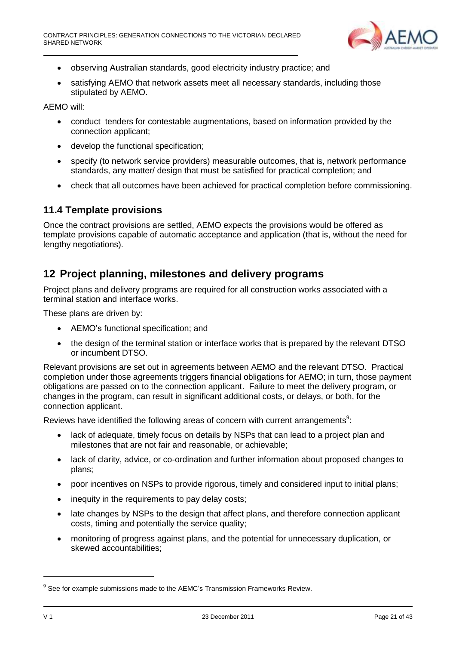

- observing Australian standards, good electricity industry practice; and
- satisfying AEMO that network assets meet all necessary standards, including those stipulated by AEMO.

AEMO will:

- conduct tenders for contestable augmentations, based on information provided by the connection applicant;
- develop the functional specification;
- specify (to network service providers) measurable outcomes, that is, network performance standards, any matter/ design that must be satisfied for practical completion; and
- check that all outcomes have been achieved for practical completion before commissioning.

#### <span id="page-20-0"></span>**11.4 Template provisions**

Once the contract provisions are settled, AEMO expects the provisions would be offered as template provisions capable of automatic acceptance and application (that is, without the need for lengthy negotiations).

## <span id="page-20-1"></span>**12 Project planning, milestones and delivery programs**

Project plans and delivery programs are required for all construction works associated with a terminal station and interface works.

These plans are driven by:

- AEMO's functional specification; and
- the design of the terminal station or interface works that is prepared by the relevant DTSO or incumbent DTSO.

Relevant provisions are set out in agreements between AEMO and the relevant DTSO. Practical completion under those agreements triggers financial obligations for AEMO; in turn, those payment obligations are passed on to the connection applicant. Failure to meet the delivery program, or changes in the program, can result in significant additional costs, or delays, or both, for the connection applicant.

Reviews have identified the following areas of concern with current arrangements $9$ :

- lack of adequate, timely focus on details by NSPs that can lead to a project plan and milestones that are not fair and reasonable, or achievable;
- lack of clarity, advice, or co-ordination and further information about proposed changes to plans;
- poor incentives on NSPs to provide rigorous, timely and considered input to initial plans;
- inequity in the requirements to pay delay costs;
- late changes by NSPs to the design that affect plans, and therefore connection applicant costs, timing and potentially the service quality;
- monitoring of progress against plans, and the potential for unnecessary duplication, or skewed accountabilities;

<sup>&</sup>lt;sup>9</sup> See for example submissions made to the AEMC's Transmission Frameworks Review.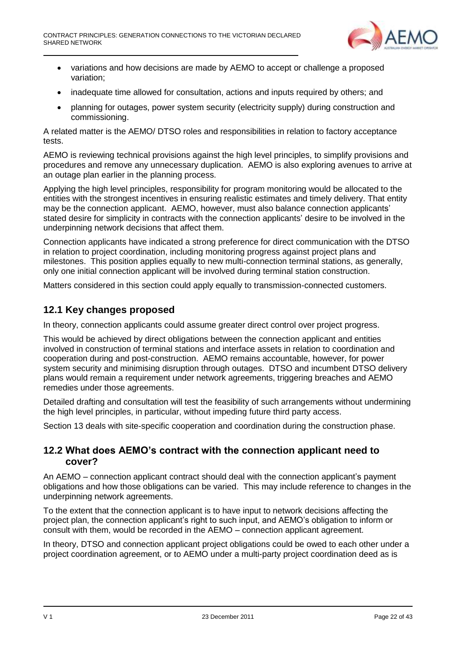

- variations and how decisions are made by AEMO to accept or challenge a proposed variation;
- inadequate time allowed for consultation, actions and inputs required by others: and
- planning for outages, power system security (electricity supply) during construction and commissioning.

A related matter is the AEMO/ DTSO roles and responsibilities in relation to factory acceptance tests.

AEMO is reviewing technical provisions against the high level principles, to simplify provisions and procedures and remove any unnecessary duplication. AEMO is also exploring avenues to arrive at an outage plan earlier in the planning process.

Applying the high level principles, responsibility for program monitoring would be allocated to the entities with the strongest incentives in ensuring realistic estimates and timely delivery. That entity may be the connection applicant. AEMO, however, must also balance connection applicants' stated desire for simplicity in contracts with the connection applicants' desire to be involved in the underpinning network decisions that affect them.

Connection applicants have indicated a strong preference for direct communication with the DTSO in relation to project coordination, including monitoring progress against project plans and milestones. This position applies equally to new multi-connection terminal stations, as generally, only one initial connection applicant will be involved during terminal station construction.

Matters considered in this section could apply equally to transmission-connected customers.

### <span id="page-21-0"></span>**12.1 Key changes proposed**

In theory, connection applicants could assume greater direct control over project progress.

This would be achieved by direct obligations between the connection applicant and entities involved in construction of terminal stations and interface assets in relation to coordination and cooperation during and post-construction. AEMO remains accountable, however, for power system security and minimising disruption through outages. DTSO and incumbent DTSO delivery plans would remain a requirement under network agreements, triggering breaches and AEMO remedies under those agreements.

Detailed drafting and consultation will test the feasibility of such arrangements without undermining the high level principles, in particular, without impeding future third party access.

Section 13 deals with site-specific cooperation and coordination during the construction phase.

#### <span id="page-21-1"></span>**12.2 What does AEMO's contract with the connection applicant need to cover?**

An AEMO – connection applicant contract should deal with the connection applicant's payment obligations and how those obligations can be varied. This may include reference to changes in the underpinning network agreements.

To the extent that the connection applicant is to have input to network decisions affecting the project plan, the connection applicant's right to such input, and AEMO's obligation to inform or consult with them, would be recorded in the AEMO – connection applicant agreement.

In theory, DTSO and connection applicant project obligations could be owed to each other under a project coordination agreement, or to AEMO under a multi-party project coordination deed as is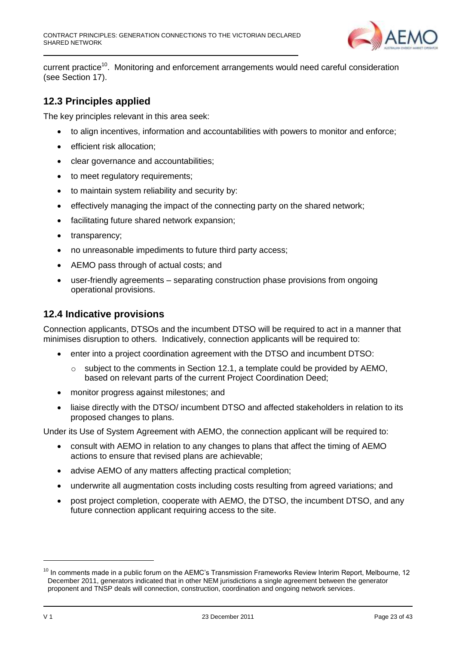

current practice<sup>10</sup>. Monitoring and enforcement arrangements would need careful consideration (see Section 17).

#### <span id="page-22-0"></span>**12.3 Principles applied**

The key principles relevant in this area seek:

- to align incentives, information and accountabilities with powers to monitor and enforce;
- **•** efficient risk allocation;
- clear governance and accountabilities;
- to meet regulatory requirements;
- to maintain system reliability and security by:
- effectively managing the impact of the connecting party on the shared network;
- facilitating future shared network expansion;
- transparency;
- no unreasonable impediments to future third party access;
- AEMO pass through of actual costs; and
- user-friendly agreements separating construction phase provisions from ongoing operational provisions.

#### <span id="page-22-1"></span>**12.4 Indicative provisions**

Connection applicants, DTSOs and the incumbent DTSO will be required to act in a manner that minimises disruption to others. Indicatively, connection applicants will be required to:

- enter into a project coordination agreement with the DTSO and incumbent DTSO:
	- o subject to the comments in Section 12.1, a template could be provided by AEMO, based on relevant parts of the current Project Coordination Deed;
- monitor progress against milestones; and
- liaise directly with the DTSO/ incumbent DTSO and affected stakeholders in relation to its proposed changes to plans.

Under its Use of System Agreement with AEMO, the connection applicant will be required to:

- consult with AEMO in relation to any changes to plans that affect the timing of AEMO actions to ensure that revised plans are achievable;
- advise AEMO of any matters affecting practical completion;
- underwrite all augmentation costs including costs resulting from agreed variations; and
- post project completion, cooperate with AEMO, the DTSO, the incumbent DTSO, and any future connection applicant requiring access to the site.

 $10$  In comments made in a public forum on the AEMC's Transmission Frameworks Review Interim Report, Melbourne, 12 December 2011, generators indicated that in other NEM jurisdictions a single agreement between the generator proponent and TNSP deals will connection, construction, coordination and ongoing network services.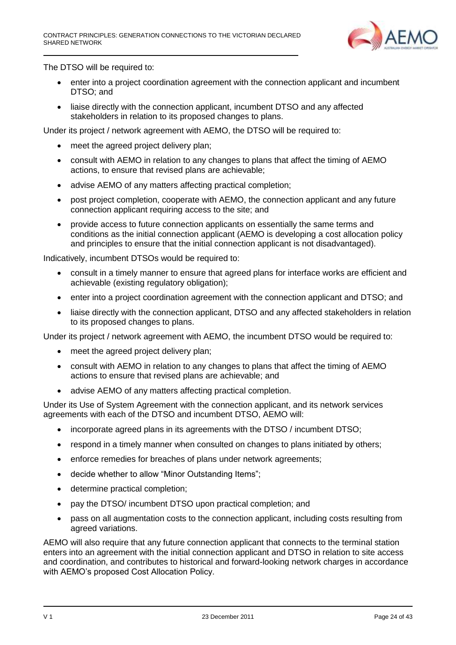

The DTSO will be required to:

- enter into a project coordination agreement with the connection applicant and incumbent DTSO; and
- liaise directly with the connection applicant, incumbent DTSO and any affected stakeholders in relation to its proposed changes to plans.

Under its project / network agreement with AEMO, the DTSO will be required to:

- meet the agreed project delivery plan;
- consult with AEMO in relation to any changes to plans that affect the timing of AEMO actions, to ensure that revised plans are achievable;
- advise AEMO of any matters affecting practical completion;
- post project completion, cooperate with AEMO, the connection applicant and any future connection applicant requiring access to the site; and
- provide access to future connection applicants on essentially the same terms and conditions as the initial connection applicant (AEMO is developing a cost allocation policy and principles to ensure that the initial connection applicant is not disadvantaged).

Indicatively, incumbent DTSOs would be required to:

- consult in a timely manner to ensure that agreed plans for interface works are efficient and achievable (existing regulatory obligation);
- enter into a project coordination agreement with the connection applicant and DTSO; and
- liaise directly with the connection applicant, DTSO and any affected stakeholders in relation to its proposed changes to plans.

Under its project / network agreement with AEMO, the incumbent DTSO would be required to:

- meet the agreed project delivery plan;
- consult with AEMO in relation to any changes to plans that affect the timing of AEMO actions to ensure that revised plans are achievable; and
- advise AEMO of any matters affecting practical completion.

Under its Use of System Agreement with the connection applicant, and its network services agreements with each of the DTSO and incumbent DTSO, AEMO will:

- incorporate agreed plans in its agreements with the DTSO / incumbent DTSO;
- respond in a timely manner when consulted on changes to plans initiated by others;
- enforce remedies for breaches of plans under network agreements;
- decide whether to allow "Minor Outstanding Items";
- determine practical completion;
- pay the DTSO/ incumbent DTSO upon practical completion; and
- pass on all augmentation costs to the connection applicant, including costs resulting from agreed variations.

AEMO will also require that any future connection applicant that connects to the terminal station enters into an agreement with the initial connection applicant and DTSO in relation to site access and coordination, and contributes to historical and forward-looking network charges in accordance with AEMO's proposed Cost Allocation Policy.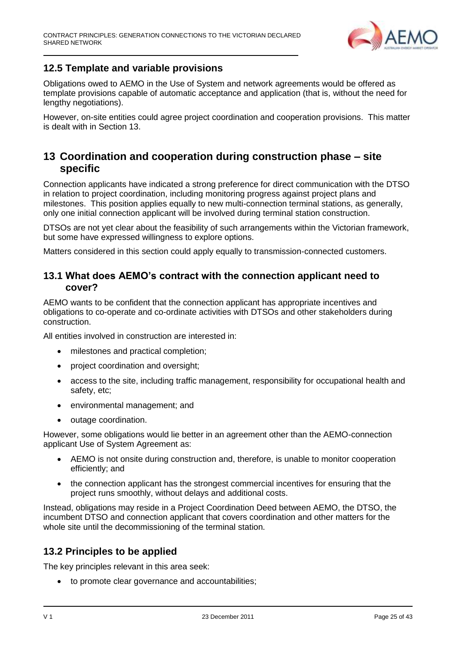

## <span id="page-24-0"></span>**12.5 Template and variable provisions**

Obligations owed to AEMO in the Use of System and network agreements would be offered as template provisions capable of automatic acceptance and application (that is, without the need for lengthy negotiations).

However, on-site entities could agree project coordination and cooperation provisions. This matter is dealt with in Section 13.

# <span id="page-24-1"></span>**13 Coordination and cooperation during construction phase – site specific**

Connection applicants have indicated a strong preference for direct communication with the DTSO in relation to project coordination, including monitoring progress against project plans and milestones. This position applies equally to new multi-connection terminal stations, as generally, only one initial connection applicant will be involved during terminal station construction.

DTSOs are not yet clear about the feasibility of such arrangements within the Victorian framework, but some have expressed willingness to explore options.

Matters considered in this section could apply equally to transmission-connected customers.

#### <span id="page-24-2"></span>**13.1 What does AEMO's contract with the connection applicant need to cover?**

AEMO wants to be confident that the connection applicant has appropriate incentives and obligations to co-operate and co-ordinate activities with DTSOs and other stakeholders during construction.

All entities involved in construction are interested in:

- $\bullet$  milestones and practical completion:
- project coordination and oversight;
- access to the site, including traffic management, responsibility for occupational health and safety, etc;
- environmental management; and
- outage coordination.

However, some obligations would lie better in an agreement other than the AEMO-connection applicant Use of System Agreement as:

- AEMO is not onsite during construction and, therefore, is unable to monitor cooperation efficiently; and
- the connection applicant has the strongest commercial incentives for ensuring that the project runs smoothly, without delays and additional costs.

Instead, obligations may reside in a Project Coordination Deed between AEMO, the DTSO, the incumbent DTSO and connection applicant that covers coordination and other matters for the whole site until the decommissioning of the terminal station.

### <span id="page-24-3"></span>**13.2 Principles to be applied**

The key principles relevant in this area seek:

to promote clear governance and accountabilities;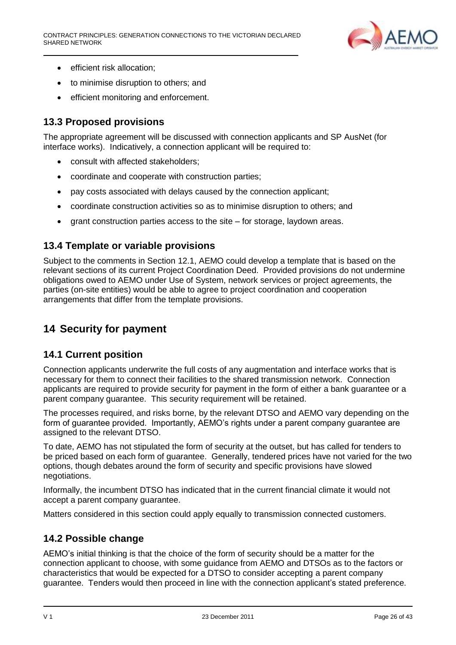

- efficient risk allocation:
- to minimise disruption to others; and
- efficient monitoring and enforcement.

## <span id="page-25-0"></span>**13.3 Proposed provisions**

The appropriate agreement will be discussed with connection applicants and SP AusNet (for interface works). Indicatively, a connection applicant will be required to:

- consult with affected stakeholders;
- coordinate and cooperate with construction parties;
- pay costs associated with delays caused by the connection applicant;
- coordinate construction activities so as to minimise disruption to others; and
- grant construction parties access to the site for storage, laydown areas.

## <span id="page-25-1"></span>**13.4 Template or variable provisions**

Subject to the comments in Section 12.1, AEMO could develop a template that is based on the relevant sections of its current Project Coordination Deed. Provided provisions do not undermine obligations owed to AEMO under Use of System, network services or project agreements, the parties (on-site entities) would be able to agree to project coordination and cooperation arrangements that differ from the template provisions.

# <span id="page-25-2"></span>**14 Security for payment**

### <span id="page-25-3"></span>**14.1 Current position**

Connection applicants underwrite the full costs of any augmentation and interface works that is necessary for them to connect their facilities to the shared transmission network. Connection applicants are required to provide security for payment in the form of either a bank guarantee or a parent company guarantee. This security requirement will be retained.

The processes required, and risks borne, by the relevant DTSO and AEMO vary depending on the form of guarantee provided. Importantly, AEMO's rights under a parent company guarantee are assigned to the relevant DTSO.

To date, AEMO has not stipulated the form of security at the outset, but has called for tenders to be priced based on each form of guarantee. Generally, tendered prices have not varied for the two options, though debates around the form of security and specific provisions have slowed negotiations.

Informally, the incumbent DTSO has indicated that in the current financial climate it would not accept a parent company guarantee.

Matters considered in this section could apply equally to transmission connected customers.

### <span id="page-25-4"></span>**14.2 Possible change**

AEMO's initial thinking is that the choice of the form of security should be a matter for the connection applicant to choose, with some guidance from AEMO and DTSOs as to the factors or characteristics that would be expected for a DTSO to consider accepting a parent company guarantee. Tenders would then proceed in line with the connection applicant's stated preference.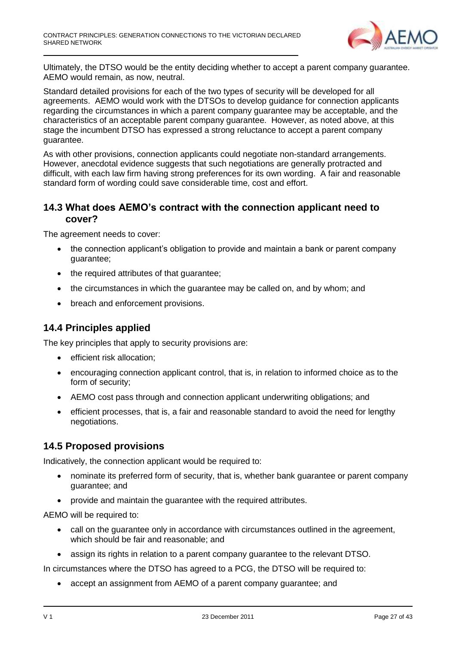

Ultimately, the DTSO would be the entity deciding whether to accept a parent company guarantee. AEMO would remain, as now, neutral.

Standard detailed provisions for each of the two types of security will be developed for all agreements. AEMO would work with the DTSOs to develop guidance for connection applicants regarding the circumstances in which a parent company guarantee may be acceptable, and the characteristics of an acceptable parent company guarantee. However, as noted above, at this stage the incumbent DTSO has expressed a strong reluctance to accept a parent company guarantee.

As with other provisions, connection applicants could negotiate non-standard arrangements. However, anecdotal evidence suggests that such negotiations are generally protracted and difficult, with each law firm having strong preferences for its own wording. A fair and reasonable standard form of wording could save considerable time, cost and effort.

### **14.3 What does AEMO's contract with the connection applicant need to cover?**

The agreement needs to cover:

- the connection applicant's obligation to provide and maintain a bank or parent company guarantee;
- the required attributes of that quarantee:
- the circumstances in which the guarantee may be called on, and by whom; and
- breach and enforcement provisions.

#### <span id="page-26-0"></span>**14.4 Principles applied**

The key principles that apply to security provisions are:

- **•** efficient risk allocation:
- encouraging connection applicant control, that is, in relation to informed choice as to the form of security;
- AEMO cost pass through and connection applicant underwriting obligations; and
- efficient processes, that is, a fair and reasonable standard to avoid the need for lengthy negotiations.

#### <span id="page-26-1"></span>**14.5 Proposed provisions**

Indicatively, the connection applicant would be required to:

- nominate its preferred form of security, that is, whether bank guarantee or parent company guarantee; and
- provide and maintain the guarantee with the required attributes.

AEMO will be required to:

- call on the guarantee only in accordance with circumstances outlined in the agreement, which should be fair and reasonable; and
- assign its rights in relation to a parent company guarantee to the relevant DTSO.

In circumstances where the DTSO has agreed to a PCG, the DTSO will be required to:

accept an assignment from AEMO of a parent company guarantee; and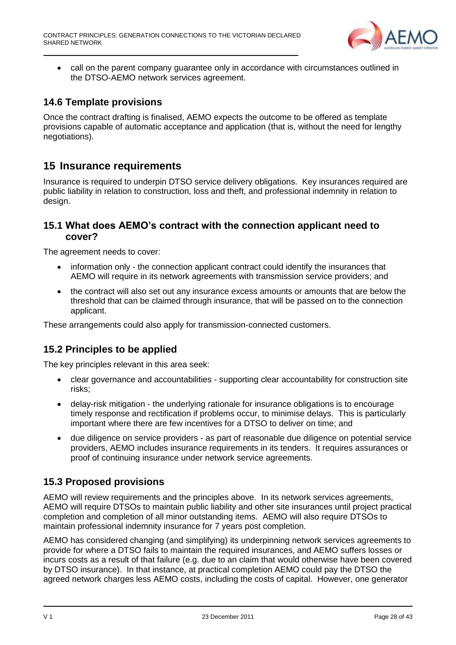

• call on the parent company guarantee only in accordance with circumstances outlined in the DTSO-AEMO network services agreement.

## <span id="page-27-0"></span>**14.6 Template provisions**

Once the contract drafting is finalised, AEMO expects the outcome to be offered as template provisions capable of automatic acceptance and application (that is, without the need for lengthy negotiations).

## <span id="page-27-1"></span>**15 Insurance requirements**

Insurance is required to underpin DTSO service delivery obligations. Key insurances required are public liability in relation to construction, loss and theft, and professional indemnity in relation to design.

#### <span id="page-27-2"></span>**15.1 What does AEMO's contract with the connection applicant need to cover?**

The agreement needs to cover:

- information only the connection applicant contract could identify the insurances that AEMO will require in its network agreements with transmission service providers; and
- the contract will also set out any insurance excess amounts or amounts that are below the threshold that can be claimed through insurance, that will be passed on to the connection applicant.

These arrangements could also apply for transmission-connected customers.

### <span id="page-27-3"></span>**15.2 Principles to be applied**

The key principles relevant in this area seek:

- clear governance and accountabilities supporting clear accountability for construction site risks;
- delay-risk mitigation the underlying rationale for insurance obligations is to encourage timely response and rectification if problems occur, to minimise delays. This is particularly important where there are few incentives for a DTSO to deliver on time; and
- due diligence on service providers as part of reasonable due diligence on potential service providers, AEMO includes insurance requirements in its tenders. It requires assurances or proof of continuing insurance under network service agreements.

### <span id="page-27-4"></span>**15.3 Proposed provisions**

AEMO will review requirements and the principles above. In its network services agreements, AEMO will require DTSOs to maintain public liability and other site insurances until project practical completion and completion of all minor outstanding items. AEMO will also require DTSOs to maintain professional indemnity insurance for 7 years post completion.

AEMO has considered changing (and simplifying) its underpinning network services agreements to provide for where a DTSO fails to maintain the required insurances, and AEMO suffers losses or incurs costs as a result of that failure (e.g. due to an claim that would otherwise have been covered by DTSO insurance). In that instance, at practical completion AEMO could pay the DTSO the agreed network charges less AEMO costs, including the costs of capital. However, one generator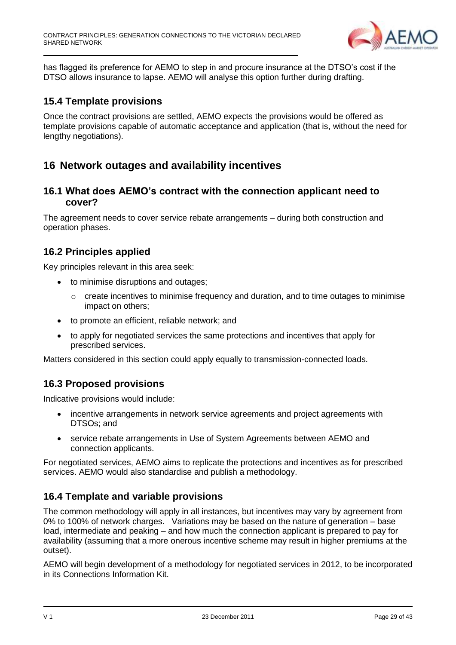

has flagged its preference for AEMO to step in and procure insurance at the DTSO's cost if the DTSO allows insurance to lapse. AEMO will analyse this option further during drafting.

#### <span id="page-28-0"></span>**15.4 Template provisions**

Once the contract provisions are settled, AEMO expects the provisions would be offered as template provisions capable of automatic acceptance and application (that is, without the need for lengthy negotiations).

## <span id="page-28-1"></span>**16 Network outages and availability incentives**

#### <span id="page-28-2"></span>**16.1 What does AEMO's contract with the connection applicant need to cover?**

The agreement needs to cover service rebate arrangements – during both construction and operation phases.

### <span id="page-28-3"></span>**16.2 Principles applied**

Key principles relevant in this area seek:

- to minimise disruptions and outages;
	- $\circ$  create incentives to minimise frequency and duration, and to time outages to minimise impact on others;
- to promote an efficient, reliable network; and
- to apply for negotiated services the same protections and incentives that apply for prescribed services.

Matters considered in this section could apply equally to transmission-connected loads.

### <span id="page-28-4"></span>**16.3 Proposed provisions**

Indicative provisions would include:

- incentive arrangements in network service agreements and project agreements with DTSOs; and
- service rebate arrangements in Use of System Agreements between AEMO and connection applicants.

For negotiated services, AEMO aims to replicate the protections and incentives as for prescribed services. AEMO would also standardise and publish a methodology.

### <span id="page-28-5"></span>**16.4 Template and variable provisions**

The common methodology will apply in all instances, but incentives may vary by agreement from 0% to 100% of network charges. Variations may be based on the nature of generation – base load, intermediate and peaking – and how much the connection applicant is prepared to pay for availability (assuming that a more onerous incentive scheme may result in higher premiums at the outset).

AEMO will begin development of a methodology for negotiated services in 2012, to be incorporated in its Connections Information Kit.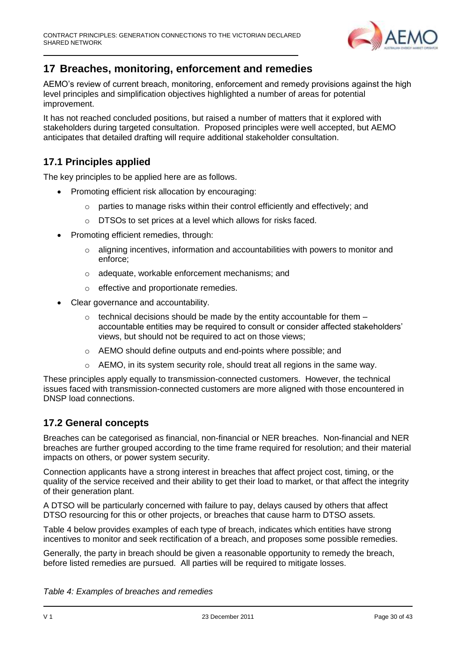

# <span id="page-29-0"></span>**17 Breaches, monitoring, enforcement and remedies**

AEMO's review of current breach, monitoring, enforcement and remedy provisions against the high level principles and simplification objectives highlighted a number of areas for potential improvement.

It has not reached concluded positions, but raised a number of matters that it explored with stakeholders during targeted consultation. Proposed principles were well accepted, but AEMO anticipates that detailed drafting will require additional stakeholder consultation.

## <span id="page-29-1"></span>**17.1 Principles applied**

The key principles to be applied here are as follows.

- Promoting efficient risk allocation by encouraging:
	- o parties to manage risks within their control efficiently and effectively; and
	- o DTSOs to set prices at a level which allows for risks faced.
- Promoting efficient remedies, through:
	- $\circ$  aligning incentives, information and accountabilities with powers to monitor and enforce;
	- o adequate, workable enforcement mechanisms; and
	- o effective and proportionate remedies.
- Clear governance and accountability.
	- $\circ$  technical decisions should be made by the entity accountable for them  $$ accountable entities may be required to consult or consider affected stakeholders' views, but should not be required to act on those views;
	- o AEMO should define outputs and end-points where possible; and
	- $\circ$  AEMO, in its system security role, should treat all regions in the same way.

These principles apply equally to transmission-connected customers. However, the technical issues faced with transmission-connected customers are more aligned with those encountered in DNSP load connections.

#### <span id="page-29-2"></span>**17.2 General concepts**

Breaches can be categorised as financial, non-financial or NER breaches. Non-financial and NER breaches are further grouped according to the time frame required for resolution; and their material impacts on others, or power system security.

Connection applicants have a strong interest in breaches that affect project cost, timing, or the quality of the service received and their ability to get their load to market, or that affect the integrity of their generation plant.

A DTSO will be particularly concerned with failure to pay, delays caused by others that affect DTSO resourcing for this or other projects, or breaches that cause harm to DTSO assets.

Table 4 below provides examples of each type of breach, indicates which entities have strong incentives to monitor and seek rectification of a breach, and proposes some possible remedies.

Generally, the party in breach should be given a reasonable opportunity to remedy the breach, before listed remedies are pursued. All parties will be required to mitigate losses.

*Table 4: Examples of breaches and remedies*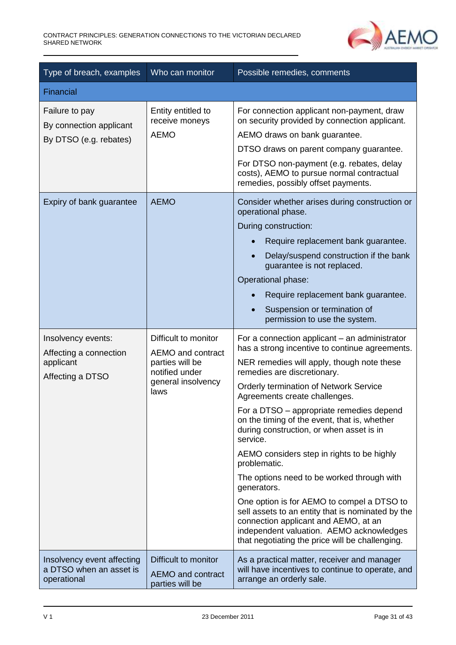

| Type of breach, examples                                                                                                                    | Who can monitor                                                                                              | Possible remedies, comments                                                                                                                                                                                                                                                                                                                                                                                                                                                                                                                                                                                                                                                                                                                                                      |  |  |
|---------------------------------------------------------------------------------------------------------------------------------------------|--------------------------------------------------------------------------------------------------------------|----------------------------------------------------------------------------------------------------------------------------------------------------------------------------------------------------------------------------------------------------------------------------------------------------------------------------------------------------------------------------------------------------------------------------------------------------------------------------------------------------------------------------------------------------------------------------------------------------------------------------------------------------------------------------------------------------------------------------------------------------------------------------------|--|--|
| Financial                                                                                                                                   |                                                                                                              |                                                                                                                                                                                                                                                                                                                                                                                                                                                                                                                                                                                                                                                                                                                                                                                  |  |  |
| Failure to pay<br>By connection applicant<br>By DTSO (e.g. rebates)                                                                         | Entity entitled to<br>receive moneys<br><b>AEMO</b>                                                          | For connection applicant non-payment, draw<br>on security provided by connection applicant.<br>AEMO draws on bank guarantee.<br>DTSO draws on parent company guarantee.<br>For DTSO non-payment (e.g. rebates, delay<br>costs), AEMO to pursue normal contractual<br>remedies, possibly offset payments.                                                                                                                                                                                                                                                                                                                                                                                                                                                                         |  |  |
| Expiry of bank guarantee                                                                                                                    | <b>AEMO</b>                                                                                                  | Consider whether arises during construction or<br>operational phase.<br>During construction:<br>Require replacement bank guarantee.<br>Delay/suspend construction if the bank<br>guarantee is not replaced.<br>Operational phase:<br>Require replacement bank guarantee.<br>Suspension or termination of<br>permission to use the system.                                                                                                                                                                                                                                                                                                                                                                                                                                        |  |  |
| Insolvency events:<br>Affecting a connection<br>applicant<br>Affecting a DTSO                                                               | Difficult to monitor<br>AEMO and contract<br>parties will be<br>notified under<br>general insolvency<br>laws | For a connection applicant – an administrator<br>has a strong incentive to continue agreements.<br>NER remedies will apply, though note these<br>remedies are discretionary.<br>Orderly termination of Network Service<br>Agreements create challenges.<br>For a DTSO – appropriate remedies depend<br>on the timing of the event, that is, whether<br>during construction, or when asset is in<br>service.<br>AEMO considers step in rights to be highly<br>problematic.<br>The options need to be worked through with<br>generators.<br>One option is for AEMO to compel a DTSO to<br>sell assets to an entity that is nominated by the<br>connection applicant and AEMO, at an<br>independent valuation. AEMO acknowledges<br>that negotiating the price will be challenging. |  |  |
| Difficult to monitor<br>Insolvency event affecting<br>a DTSO when an asset is<br><b>AEMO</b> and contract<br>operational<br>parties will be |                                                                                                              | As a practical matter, receiver and manager<br>will have incentives to continue to operate, and<br>arrange an orderly sale.                                                                                                                                                                                                                                                                                                                                                                                                                                                                                                                                                                                                                                                      |  |  |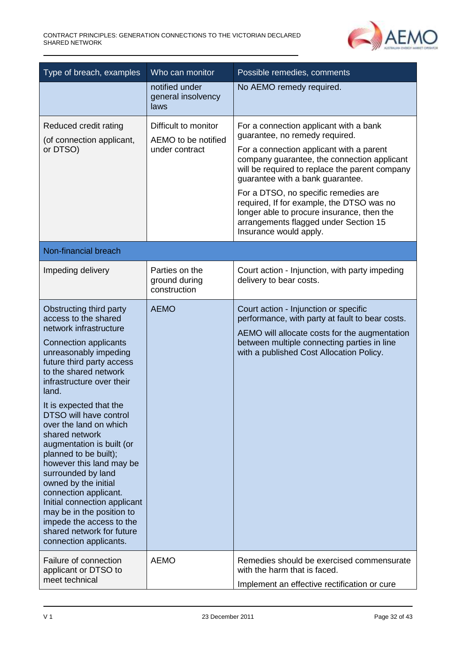

| Who can monitor<br>Type of breach, examples                                                                                                                                                                                                                                                                                                                                                                                                                                                                                                                                                                                              |                                                               | Possible remedies, comments                                                                                                                                                                                                                                                                                                                                                                                                                                     |  |
|------------------------------------------------------------------------------------------------------------------------------------------------------------------------------------------------------------------------------------------------------------------------------------------------------------------------------------------------------------------------------------------------------------------------------------------------------------------------------------------------------------------------------------------------------------------------------------------------------------------------------------------|---------------------------------------------------------------|-----------------------------------------------------------------------------------------------------------------------------------------------------------------------------------------------------------------------------------------------------------------------------------------------------------------------------------------------------------------------------------------------------------------------------------------------------------------|--|
|                                                                                                                                                                                                                                                                                                                                                                                                                                                                                                                                                                                                                                          | notified under<br>general insolvency<br>laws                  | No AEMO remedy required.                                                                                                                                                                                                                                                                                                                                                                                                                                        |  |
| Reduced credit rating<br>(of connection applicant,<br>or DTSO)                                                                                                                                                                                                                                                                                                                                                                                                                                                                                                                                                                           | Difficult to monitor<br>AEMO to be notified<br>under contract | For a connection applicant with a bank<br>guarantee, no remedy required.<br>For a connection applicant with a parent<br>company guarantee, the connection applicant<br>will be required to replace the parent company<br>guarantee with a bank guarantee.<br>For a DTSO, no specific remedies are<br>required, If for example, the DTSO was no<br>longer able to procure insurance, then the<br>arrangements flagged under Section 15<br>Insurance would apply. |  |
| Non-financial breach                                                                                                                                                                                                                                                                                                                                                                                                                                                                                                                                                                                                                     |                                                               |                                                                                                                                                                                                                                                                                                                                                                                                                                                                 |  |
| Impeding delivery                                                                                                                                                                                                                                                                                                                                                                                                                                                                                                                                                                                                                        | Parties on the<br>ground during<br>construction               | Court action - Injunction, with party impeding<br>delivery to bear costs.                                                                                                                                                                                                                                                                                                                                                                                       |  |
| Obstructing third party<br>access to the shared<br>network infrastructure<br><b>Connection applicants</b><br>unreasonably impeding<br>future third party access<br>to the shared network<br>infrastructure over their<br>land.<br>It is expected that the<br>DTSO will have control<br>over the land on which<br>shared network<br>augmentation is built (or<br>planned to be built);<br>however this land may be<br>surrounded by land<br>owned by the initial<br>connection applicant.<br>Initial connection applicant<br>may be in the position to<br>impede the access to the<br>shared network for future<br>connection applicants. | <b>AEMO</b>                                                   | Court action - Injunction or specific<br>performance, with party at fault to bear costs.<br>AEMO will allocate costs for the augmentation<br>between multiple connecting parties in line<br>with a published Cost Allocation Policy.                                                                                                                                                                                                                            |  |
| Failure of connection<br>applicant or DTSO to<br>meet technical                                                                                                                                                                                                                                                                                                                                                                                                                                                                                                                                                                          | <b>AEMO</b>                                                   | Remedies should be exercised commensurate<br>with the harm that is faced.<br>Implement an effective rectification or cure                                                                                                                                                                                                                                                                                                                                       |  |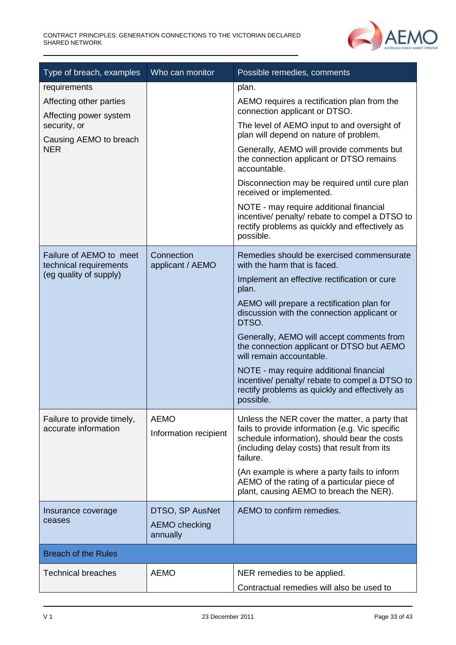

| Type of breach, examples                                                                                                  | Who can monitor                                     | Possible remedies, comments                                                                                                                                                                                                                                                                                                                                                                                                                                                                                                      |
|---------------------------------------------------------------------------------------------------------------------------|-----------------------------------------------------|----------------------------------------------------------------------------------------------------------------------------------------------------------------------------------------------------------------------------------------------------------------------------------------------------------------------------------------------------------------------------------------------------------------------------------------------------------------------------------------------------------------------------------|
| requirements<br>Affecting other parties<br>Affecting power system<br>security, or<br>Causing AEMO to breach<br><b>NER</b> |                                                     | plan.<br>AEMO requires a rectification plan from the<br>connection applicant or DTSO.<br>The level of AEMO input to and oversight of<br>plan will depend on nature of problem.<br>Generally, AEMO will provide comments but<br>the connection applicant or DTSO remains<br>accountable.<br>Disconnection may be required until cure plan<br>received or implemented.<br>NOTE - may require additional financial<br>incentive/ penalty/ rebate to compel a DTSO to<br>rectify problems as quickly and effectively as<br>possible. |
| Failure of AEMO to meet<br>technical requirements<br>(eg quality of supply)                                               | Connection<br>applicant / AEMO                      | Remedies should be exercised commensurate<br>with the harm that is faced.<br>Implement an effective rectification or cure<br>plan.<br>AEMO will prepare a rectification plan for<br>discussion with the connection applicant or<br>DTSO.<br>Generally, AEMO will accept comments from<br>the connection applicant or DTSO but AEMO<br>will remain accountable.<br>NOTE - may require additional financial<br>incentive/ penalty/ rebate to compel a DTSO to<br>rectify problems as quickly and effectively as<br>possible.       |
| Failure to provide timely,<br>accurate information                                                                        | <b>AEMO</b><br>Information recipient                | Unless the NER cover the matter, a party that<br>fails to provide information (e.g. Vic specific<br>schedule information), should bear the costs<br>(including delay costs) that result from its<br>failure.<br>(An example is where a party fails to inform<br>AEMO of the rating of a particular piece of<br>plant, causing AEMO to breach the NER).                                                                                                                                                                           |
| Insurance coverage<br>ceases                                                                                              | DTSO, SP AusNet<br><b>AEMO</b> checking<br>annually | AEMO to confirm remedies.                                                                                                                                                                                                                                                                                                                                                                                                                                                                                                        |
| <b>Breach of the Rules</b>                                                                                                |                                                     |                                                                                                                                                                                                                                                                                                                                                                                                                                                                                                                                  |
| <b>Technical breaches</b>                                                                                                 | <b>AEMO</b>                                         | NER remedies to be applied.<br>Contractual remedies will also be used to                                                                                                                                                                                                                                                                                                                                                                                                                                                         |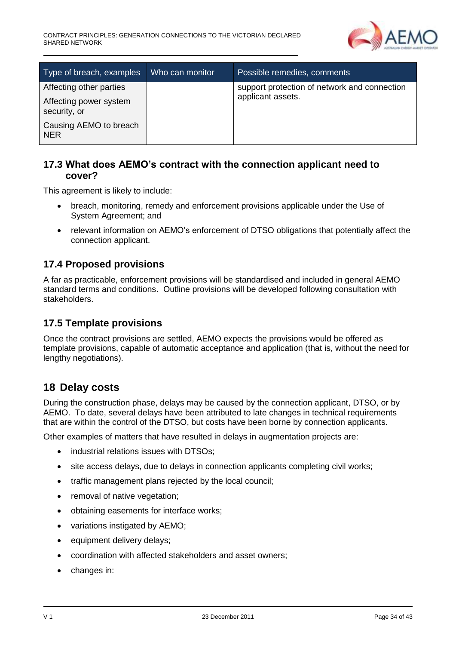

| Type of breach, examples               | Who can monitor | Possible remedies, comments                  |
|----------------------------------------|-----------------|----------------------------------------------|
| Affecting other parties                |                 | support protection of network and connection |
| Affecting power system<br>security, or |                 | applicant assets.                            |
| Causing AEMO to breach<br><b>NER</b>   |                 |                                              |

### <span id="page-33-0"></span>**17.3 What does AEMO's contract with the connection applicant need to cover?**

This agreement is likely to include:

- breach, monitoring, remedy and enforcement provisions applicable under the Use of System Agreement; and
- relevant information on AEMO's enforcement of DTSO obligations that potentially affect the connection applicant.

### <span id="page-33-1"></span>**17.4 Proposed provisions**

A far as practicable, enforcement provisions will be standardised and included in general AEMO standard terms and conditions. Outline provisions will be developed following consultation with stakeholders.

#### <span id="page-33-2"></span>**17.5 Template provisions**

Once the contract provisions are settled, AEMO expects the provisions would be offered as template provisions, capable of automatic acceptance and application (that is, without the need for lengthy negotiations).

### <span id="page-33-3"></span>**18 Delay costs**

During the construction phase, delays may be caused by the connection applicant, DTSO, or by AEMO. To date, several delays have been attributed to late changes in technical requirements that are within the control of the DTSO, but costs have been borne by connection applicants.

Other examples of matters that have resulted in delays in augmentation projects are:

- industrial relations issues with DTSOs:
- site access delays, due to delays in connection applicants completing civil works;
- traffic management plans rejected by the local council;
- removal of native vegetation;
- obtaining easements for interface works;
- variations instigated by AEMO;
- equipment delivery delays;
- coordination with affected stakeholders and asset owners;
- changes in: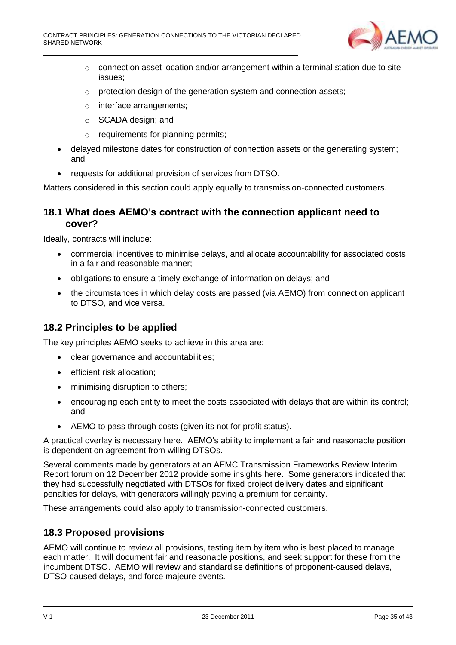

- $\circ$  connection asset location and/or arrangement within a terminal station due to site issues;
- o protection design of the generation system and connection assets;
- o interface arrangements;
- o SCADA design; and
- o requirements for planning permits;
- delayed milestone dates for construction of connection assets or the generating system; and
- requests for additional provision of services from DTSO.

Matters considered in this section could apply equally to transmission-connected customers.

#### <span id="page-34-0"></span>**18.1 What does AEMO's contract with the connection applicant need to cover?**

Ideally, contracts will include:

- commercial incentives to minimise delays, and allocate accountability for associated costs in a fair and reasonable manner;
- obligations to ensure a timely exchange of information on delays; and
- the circumstances in which delay costs are passed (via AEMO) from connection applicant to DTSO, and vice versa.

## <span id="page-34-1"></span>**18.2 Principles to be applied**

The key principles AEMO seeks to achieve in this area are:

- clear governance and accountabilities;
- **•** efficient risk allocation;
- minimising disruption to others;
- encouraging each entity to meet the costs associated with delays that are within its control; and
- AEMO to pass through costs (given its not for profit status).

A practical overlay is necessary here. AEMO's ability to implement a fair and reasonable position is dependent on agreement from willing DTSOs.

Several comments made by generators at an AEMC Transmission Frameworks Review Interim Report forum on 12 December 2012 provide some insights here. Some generators indicated that they had successfully negotiated with DTSOs for fixed project delivery dates and significant penalties for delays, with generators willingly paying a premium for certainty.

These arrangements could also apply to transmission-connected customers.

### <span id="page-34-2"></span>**18.3 Proposed provisions**

AEMO will continue to review all provisions, testing item by item who is best placed to manage each matter. It will document fair and reasonable positions, and seek support for these from the incumbent DTSO. AEMO will review and standardise definitions of proponent-caused delays, DTSO-caused delays, and force majeure events.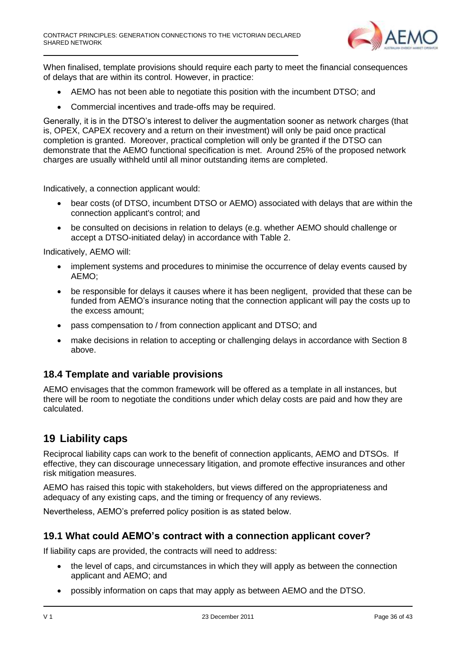

When finalised, template provisions should require each party to meet the financial consequences of delays that are within its control. However, in practice:

- AEMO has not been able to negotiate this position with the incumbent DTSO; and
- Commercial incentives and trade-offs may be required.

Generally, it is in the DTSO's interest to deliver the augmentation sooner as network charges (that is, OPEX, CAPEX recovery and a return on their investment) will only be paid once practical completion is granted. Moreover, practical completion will only be granted if the DTSO can demonstrate that the AEMO functional specification is met. Around 25% of the proposed network charges are usually withheld until all minor outstanding items are completed.

Indicatively, a connection applicant would:

- bear costs (of DTSO, incumbent DTSO or AEMO) associated with delays that are within the connection applicant's control; and
- be consulted on decisions in relation to delays (e.g. whether AEMO should challenge or accept a DTSO-initiated delay) in accordance with Table 2.

Indicatively, AEMO will:

- implement systems and procedures to minimise the occurrence of delay events caused by AEMO;
- be responsible for delays it causes where it has been negligent, provided that these can be funded from AEMO's insurance noting that the connection applicant will pay the costs up to the excess amount;
- pass compensation to / from connection applicant and DTSO; and
- make decisions in relation to accepting or challenging delays in accordance with Section 8 above.

#### <span id="page-35-0"></span>**18.4 Template and variable provisions**

AEMO envisages that the common framework will be offered as a template in all instances, but there will be room to negotiate the conditions under which delay costs are paid and how they are calculated.

### <span id="page-35-1"></span>**19 Liability caps**

Reciprocal liability caps can work to the benefit of connection applicants, AEMO and DTSOs. If effective, they can discourage unnecessary litigation, and promote effective insurances and other risk mitigation measures.

AEMO has raised this topic with stakeholders, but views differed on the appropriateness and adequacy of any existing caps, and the timing or frequency of any reviews.

Nevertheless, AEMO's preferred policy position is as stated below.

#### <span id="page-35-2"></span>**19.1 What could AEMO's contract with a connection applicant cover?**

If liability caps are provided, the contracts will need to address:

- the level of caps, and circumstances in which they will apply as between the connection applicant and AEMO; and
- possibly information on caps that may apply as between AEMO and the DTSO.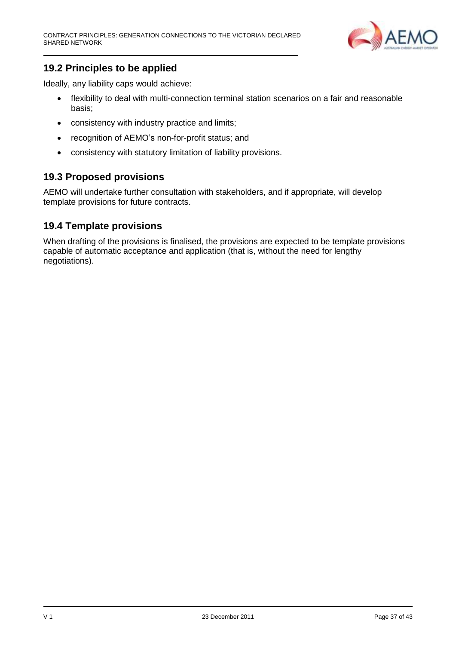

# <span id="page-36-0"></span>**19.2 Principles to be applied**

Ideally, any liability caps would achieve:

- flexibility to deal with multi-connection terminal station scenarios on a fair and reasonable basis;
- consistency with industry practice and limits;
- recognition of AEMO's non-for-profit status; and
- consistency with statutory limitation of liability provisions.

## <span id="page-36-1"></span>**19.3 Proposed provisions**

AEMO will undertake further consultation with stakeholders, and if appropriate, will develop template provisions for future contracts.

### <span id="page-36-2"></span>**19.4 Template provisions**

When drafting of the provisions is finalised, the provisions are expected to be template provisions capable of automatic acceptance and application (that is, without the need for lengthy negotiations).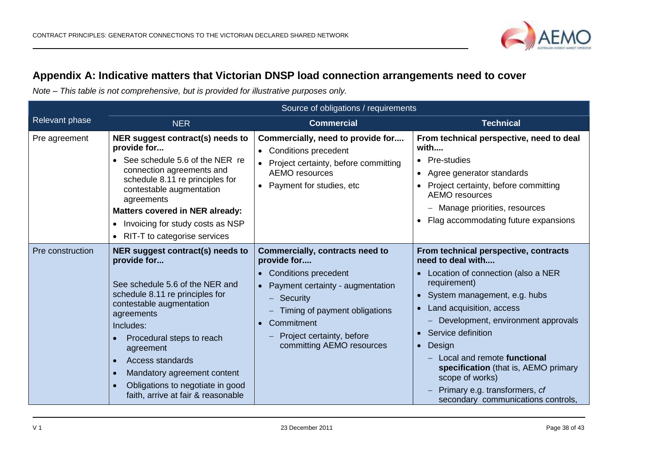

# **Appendix A: Indicative matters that Victorian DNSP load connection arrangements need to cover**

*Note – This table is not comprehensive, but is provided for illustrative purposes only.*

<span id="page-37-0"></span>

|                  | Source of obligations / requirements                                                                                                                                                                                                                                                                                                                                                              |                                                                                                                                                                                                                                                          |                                                                                                                                                                                                                                                                                                                                                                                                                                                 |
|------------------|---------------------------------------------------------------------------------------------------------------------------------------------------------------------------------------------------------------------------------------------------------------------------------------------------------------------------------------------------------------------------------------------------|----------------------------------------------------------------------------------------------------------------------------------------------------------------------------------------------------------------------------------------------------------|-------------------------------------------------------------------------------------------------------------------------------------------------------------------------------------------------------------------------------------------------------------------------------------------------------------------------------------------------------------------------------------------------------------------------------------------------|
| Relevant phase   | <b>NER</b>                                                                                                                                                                                                                                                                                                                                                                                        | <b>Commercial</b>                                                                                                                                                                                                                                        | <b>Technical</b>                                                                                                                                                                                                                                                                                                                                                                                                                                |
| Pre agreement    | NER suggest contract(s) needs to<br>provide for<br>See schedule 5.6 of the NER re<br>connection agreements and<br>schedule 8.11 re principles for<br>contestable augmentation<br>agreements<br><b>Matters covered in NER already:</b><br>Invoicing for study costs as NSP<br>$\bullet$<br>RIT-T to categorise services<br>$\bullet$                                                               | Commercially, need to provide for<br>• Conditions precedent<br>• Project certainty, before committing<br><b>AEMO</b> resources<br>• Payment for studies, etc                                                                                             | From technical perspective, need to deal<br>with<br>• Pre-studies<br>• Agree generator standards<br>• Project certainty, before committing<br><b>AEMO</b> resources<br>Manage priorities, resources<br>$-$<br>Flag accommodating future expansions                                                                                                                                                                                              |
| Pre construction | NER suggest contract(s) needs to<br>provide for<br>See schedule 5.6 of the NER and<br>schedule 8.11 re principles for<br>contestable augmentation<br>agreements<br>Includes:<br>Procedural steps to reach<br>agreement<br><b>Access standards</b><br>$\bullet$<br>Mandatory agreement content<br>$\bullet$<br>Obligations to negotiate in good<br>$\bullet$<br>faith, arrive at fair & reasonable | Commercially, contracts need to<br>provide for<br>• Conditions precedent<br>• Payment certainty - augmentation<br>Security<br>$\qquad \qquad -$<br>Timing of payment obligations<br>Commitment<br>Project certainty, before<br>committing AEMO resources | From technical perspective, contracts<br>need to deal with<br>Location of connection (also a NER<br>requirement)<br>• System management, e.g. hubs<br>Land acquisition, access<br>Development, environment approvals<br>Service definition<br>$\bullet$<br>Design<br>$\bullet$<br>Local and remote functional<br>specification (that is, AEMO primary<br>scope of works)<br>Primary e.g. transformers, cf<br>secondary communications controls, |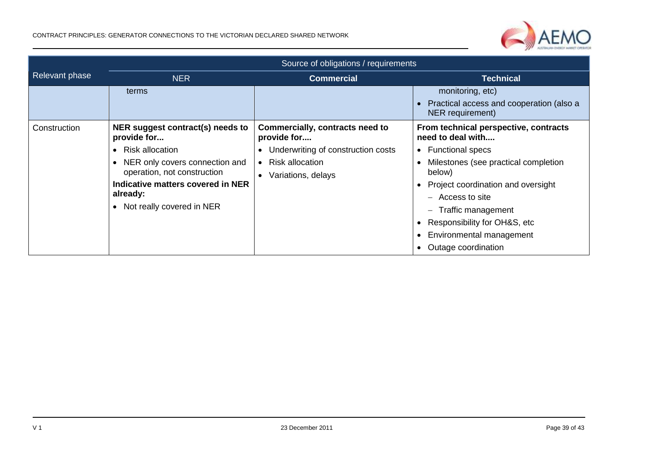

|                | Source of obligations / requirements                                                                                                                                                                                                    |                                                                                                                                                   |                                                                                                                                                                                                                                                                                                                                                                        |
|----------------|-----------------------------------------------------------------------------------------------------------------------------------------------------------------------------------------------------------------------------------------|---------------------------------------------------------------------------------------------------------------------------------------------------|------------------------------------------------------------------------------------------------------------------------------------------------------------------------------------------------------------------------------------------------------------------------------------------------------------------------------------------------------------------------|
| Relevant phase | <b>NER</b>                                                                                                                                                                                                                              | <b>Commercial</b>                                                                                                                                 | <b>Technical</b>                                                                                                                                                                                                                                                                                                                                                       |
|                | terms                                                                                                                                                                                                                                   |                                                                                                                                                   | monitoring, etc)<br>Practical access and cooperation (also a<br>NER requirement)                                                                                                                                                                                                                                                                                       |
| Construction   | NER suggest contract(s) needs to<br>provide for<br><b>Risk allocation</b><br>$\bullet$<br>NER only covers connection and<br>operation, not construction<br>Indicative matters covered in NER<br>already:<br>• Not really covered in NER | Commercially, contracts need to<br>provide for<br>Underwriting of construction costs<br><b>Risk allocation</b><br>$\bullet$<br>Variations, delays | From technical perspective, contracts<br>need to deal with<br><b>Functional specs</b><br>$\bullet$<br>Milestones (see practical completion<br>below)<br>Project coordination and oversight<br>Access to site<br>$\qquad \qquad -$<br>Traffic management<br>$\overline{\phantom{0}}$<br>Responsibility for OH&S, etc<br>Environmental management<br>Outage coordination |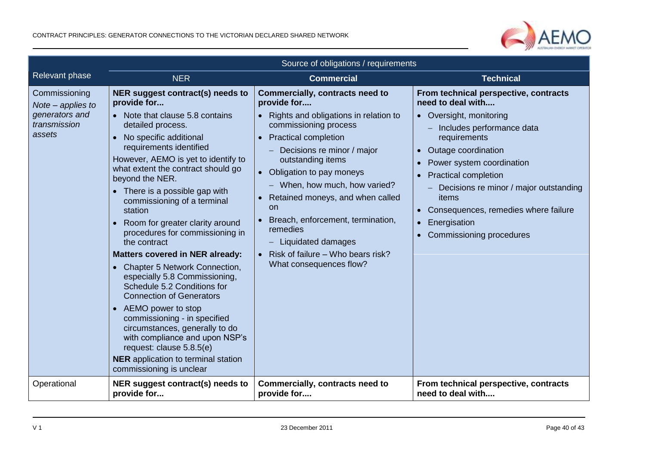

|                                                                                  | Source of obligations / requirements                                                                                                                                                                                                                                                                                                                                                                                                                                                                                                                                                                                                                                                                                                                                                                                                                      |                                                                                                                                                                                                                                                                                                                                                                                                                                                            |                                                                                                                                                                                                                                                                                                                                                                       |
|----------------------------------------------------------------------------------|-----------------------------------------------------------------------------------------------------------------------------------------------------------------------------------------------------------------------------------------------------------------------------------------------------------------------------------------------------------------------------------------------------------------------------------------------------------------------------------------------------------------------------------------------------------------------------------------------------------------------------------------------------------------------------------------------------------------------------------------------------------------------------------------------------------------------------------------------------------|------------------------------------------------------------------------------------------------------------------------------------------------------------------------------------------------------------------------------------------------------------------------------------------------------------------------------------------------------------------------------------------------------------------------------------------------------------|-----------------------------------------------------------------------------------------------------------------------------------------------------------------------------------------------------------------------------------------------------------------------------------------------------------------------------------------------------------------------|
| <b>Relevant phase</b>                                                            | <b>NER</b>                                                                                                                                                                                                                                                                                                                                                                                                                                                                                                                                                                                                                                                                                                                                                                                                                                                | <b>Commercial</b>                                                                                                                                                                                                                                                                                                                                                                                                                                          | <b>Technical</b>                                                                                                                                                                                                                                                                                                                                                      |
| Commissioning<br>Note $-$ applies to<br>generators and<br>transmission<br>assets | NER suggest contract(s) needs to<br>provide for<br>Note that clause 5.8 contains<br>detailed process.<br>No specific additional<br>requirements identified<br>However, AEMO is yet to identify to<br>what extent the contract should go<br>beyond the NER.<br>• There is a possible gap with<br>commissioning of a terminal<br>station<br>Room for greater clarity around<br>procedures for commissioning in<br>the contract<br><b>Matters covered in NER already:</b><br>• Chapter 5 Network Connection,<br>especially 5.8 Commissioning,<br>Schedule 5.2 Conditions for<br><b>Connection of Generators</b><br>AEMO power to stop<br>$\bullet$<br>commissioning - in specified<br>circumstances, generally to do<br>with compliance and upon NSP's<br>request: clause 5.8.5(e)<br><b>NER</b> application to terminal station<br>commissioning is unclear | <b>Commercially, contracts need to</b><br>provide for<br>• Rights and obligations in relation to<br>commissioning process<br>• Practical completion<br>Decisions re minor / major<br>outstanding items<br>• Obligation to pay moneys<br>- When, how much, how varied?<br>• Retained moneys, and when called<br>on<br>Breach, enforcement, termination,<br>remedies<br>Liquidated damages<br>• Risk of failure - Who bears risk?<br>What consequences flow? | From technical perspective, contracts<br>need to deal with<br>• Oversight, monitoring<br>Includes performance data<br>requirements<br>Outage coordination<br>Power system coordination<br><b>Practical completion</b><br>Decisions re minor / major outstanding<br>items<br>• Consequences, remedies where failure<br>Energisation<br><b>Commissioning procedures</b> |
| Operational                                                                      | NER suggest contract(s) needs to<br>provide for                                                                                                                                                                                                                                                                                                                                                                                                                                                                                                                                                                                                                                                                                                                                                                                                           | Commercially, contracts need to<br>provide for                                                                                                                                                                                                                                                                                                                                                                                                             | From technical perspective, contracts<br>need to deal with                                                                                                                                                                                                                                                                                                            |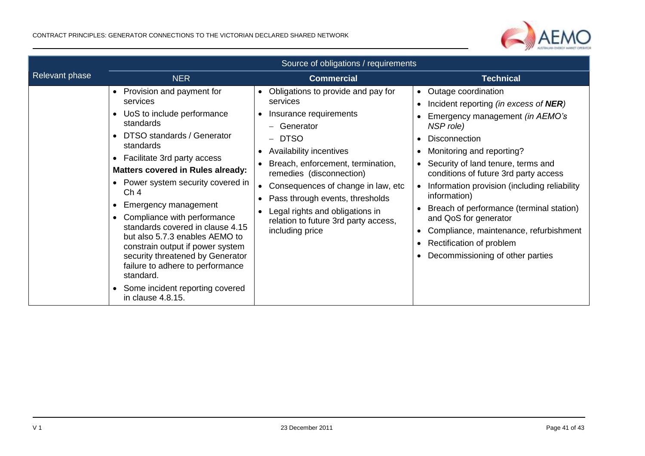

|                | Source of obligations / requirements                                                                                                                                                                                                                                                                                                                                                                                                                                                                                                                                                         |                                                                                                                                                                                                                                                                                                                                                                            |                                                                                                                                                                                                                                                                                                                                                                                                                                                                                                                           |
|----------------|----------------------------------------------------------------------------------------------------------------------------------------------------------------------------------------------------------------------------------------------------------------------------------------------------------------------------------------------------------------------------------------------------------------------------------------------------------------------------------------------------------------------------------------------------------------------------------------------|----------------------------------------------------------------------------------------------------------------------------------------------------------------------------------------------------------------------------------------------------------------------------------------------------------------------------------------------------------------------------|---------------------------------------------------------------------------------------------------------------------------------------------------------------------------------------------------------------------------------------------------------------------------------------------------------------------------------------------------------------------------------------------------------------------------------------------------------------------------------------------------------------------------|
| Relevant phase | <b>NER</b>                                                                                                                                                                                                                                                                                                                                                                                                                                                                                                                                                                                   | <b>Commercial</b>                                                                                                                                                                                                                                                                                                                                                          | <b>Technical</b>                                                                                                                                                                                                                                                                                                                                                                                                                                                                                                          |
|                | Provision and payment for<br>$\bullet$<br>services<br>UoS to include performance<br>standards<br>DTSO standards / Generator<br>standards<br>• Facilitate 3rd party access<br><b>Matters covered in Rules already:</b><br>• Power system security covered in<br>Ch <sub>4</sub><br>Emergency management<br>Compliance with performance<br>standards covered in clause 4.15<br>but also 5.7.3 enables AEMO to<br>constrain output if power system<br>security threatened by Generator<br>failure to adhere to performance<br>standard.<br>Some incident reporting covered<br>in clause 4.8.15. | Obligations to provide and pay for<br>services<br>Insurance requirements<br>- Generator<br><b>DTSO</b><br>Availability incentives<br>Breach, enforcement, termination,<br>remedies (disconnection)<br>Consequences of change in law, etc.<br>Pass through events, thresholds<br>Legal rights and obligations in<br>relation to future 3rd party access,<br>including price | Outage coordination<br>$\bullet$<br>Incident reporting (in excess of NER)<br>Emergency management (in AEMO's<br>NSP role)<br><b>Disconnection</b><br>Monitoring and reporting?<br>Security of land tenure, terms and<br>conditions of future 3rd party access<br>Information provision (including reliability<br>$\bullet$<br>information)<br>Breach of performance (terminal station)<br>and QoS for generator<br>Compliance, maintenance, refurbishment<br>Rectification of problem<br>Decommissioning of other parties |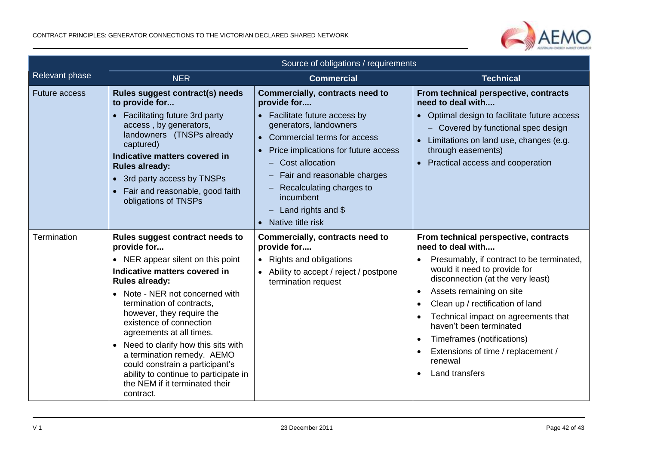

|                      | Source of obligations / requirements                                                                                                                                                                                                                                                                                                                                                                                                                                                                        |                                                                                                                                                                                                                                                                                                                                    |                                                                                                                                                                                                                                                                                                                                                                                                                                                               |
|----------------------|-------------------------------------------------------------------------------------------------------------------------------------------------------------------------------------------------------------------------------------------------------------------------------------------------------------------------------------------------------------------------------------------------------------------------------------------------------------------------------------------------------------|------------------------------------------------------------------------------------------------------------------------------------------------------------------------------------------------------------------------------------------------------------------------------------------------------------------------------------|---------------------------------------------------------------------------------------------------------------------------------------------------------------------------------------------------------------------------------------------------------------------------------------------------------------------------------------------------------------------------------------------------------------------------------------------------------------|
| Relevant phase       | <b>NER</b>                                                                                                                                                                                                                                                                                                                                                                                                                                                                                                  | <b>Commercial</b>                                                                                                                                                                                                                                                                                                                  | <b>Technical</b>                                                                                                                                                                                                                                                                                                                                                                                                                                              |
| <b>Future access</b> | Rules suggest contract(s) needs<br>to provide for<br>Facilitating future 3rd party<br>$\bullet$<br>access, by generators,<br>landowners (TNSPs already<br>captured)<br>Indicative matters covered in<br><b>Rules already:</b><br>• 3rd party access by TNSPs<br>Fair and reasonable, good faith<br>obligations of TNSPs                                                                                                                                                                                     | <b>Commercially, contracts need to</b><br>provide for<br>• Facilitate future access by<br>generators, landowners<br>• Commercial terms for access<br>Price implications for future access<br>Cost allocation<br>Fair and reasonable charges<br>Recalculating charges to<br>incumbent<br>Land rights and $$$<br>• Native title risk | From technical perspective, contracts<br>need to deal with<br>• Optimal design to facilitate future access<br>Covered by functional spec design<br>Limitations on land use, changes (e.g.<br>$\bullet$<br>through easements)<br>• Practical access and cooperation                                                                                                                                                                                            |
| Termination          | Rules suggest contract needs to<br>provide for<br>• NER appear silent on this point<br>Indicative matters covered in<br><b>Rules already:</b><br>Note - NER not concerned with<br>termination of contracts,<br>however, they require the<br>existence of connection<br>agreements at all times.<br>Need to clarify how this sits with<br>$\bullet$<br>a termination remedy. AEMO<br>could constrain a participant's<br>ability to continue to participate in<br>the NEM if it terminated their<br>contract. | Commercially, contracts need to<br>provide for<br>• Rights and obligations<br>• Ability to accept / reject / postpone<br>termination request                                                                                                                                                                                       | From technical perspective, contracts<br>need to deal with<br>Presumably, if contract to be terminated,<br>would it need to provide for<br>disconnection (at the very least)<br>Assets remaining on site<br>$\bullet$<br>Clean up / rectification of land<br>$\bullet$<br>Technical impact on agreements that<br>haven't been terminated<br>Timeframes (notifications)<br>Extensions of time / replacement /<br>renewal<br><b>Land transfers</b><br>$\bullet$ |